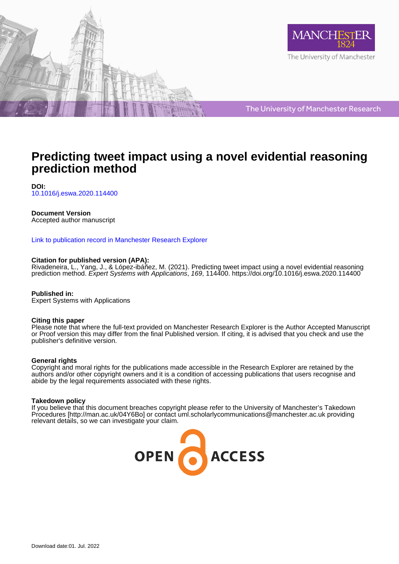



The University of Manchester Research

# **Predicting tweet impact using a novel evidential reasoning prediction method**

**DOI:** [10.1016/j.eswa.2020.114400](https://doi.org/10.1016/j.eswa.2020.114400)

#### **Document Version**

Accepted author manuscript

#### [Link to publication record in Manchester Research Explorer](https://www.research.manchester.ac.uk/portal/en/publications/predicting-tweet-impact-using-a-novel-evidential-reasoning-prediction-method(e17b0b8e-2f6b-4d7a-8343-d93674d54404).html)

#### **Citation for published version (APA):**

Rivadeneira, L[., Yang, J.](/portal/jian-bo.yang.html)[, & López-ibáñez, M.](/portal/manuel.lopez-ibanez.html) (2021). [Predicting tweet impact using a novel evidential reasoning](https://www.research.manchester.ac.uk/portal/en/publications/predicting-tweet-impact-using-a-novel-evidential-reasoning-prediction-method(e17b0b8e-2f6b-4d7a-8343-d93674d54404).html) [prediction method](https://www.research.manchester.ac.uk/portal/en/publications/predicting-tweet-impact-using-a-novel-evidential-reasoning-prediction-method(e17b0b8e-2f6b-4d7a-8343-d93674d54404).html). Expert Systems with Applications, 169, 114400.<https://doi.org/10.1016/j.eswa.2020.114400>

**Published in:** Expert Systems with Applications

#### **Citing this paper**

Please note that where the full-text provided on Manchester Research Explorer is the Author Accepted Manuscript or Proof version this may differ from the final Published version. If citing, it is advised that you check and use the publisher's definitive version.

#### **General rights**

Copyright and moral rights for the publications made accessible in the Research Explorer are retained by the authors and/or other copyright owners and it is a condition of accessing publications that users recognise and abide by the legal requirements associated with these rights.

#### **Takedown policy**

If you believe that this document breaches copyright please refer to the University of Manchester's Takedown Procedures [http://man.ac.uk/04Y6Bo] or contact uml.scholarlycommunications@manchester.ac.uk providing relevant details, so we can investigate your claim.

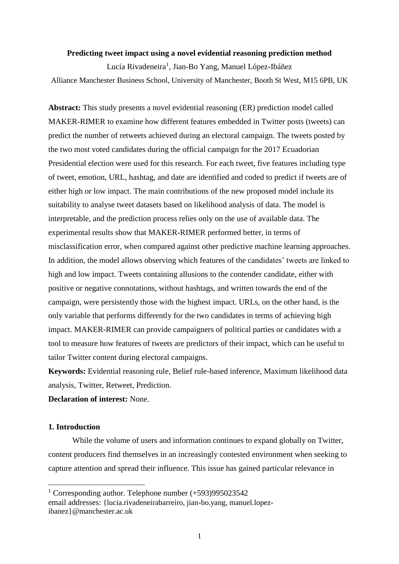#### **Predicting tweet impact using a novel evidential reasoning prediction method**

Lucía Rivadeneira<sup>1</sup>, Jian-Bo Yang, Manuel López-Ibáñez Alliance Manchester Business School, University of Manchester, Booth St West, M15 6PB, UK

**Abstract:** This study presents a novel evidential reasoning (ER) prediction model called MAKER-RIMER to examine how different features embedded in Twitter posts (tweets) can predict the number of retweets achieved during an electoral campaign. The tweets posted by the two most voted candidates during the official campaign for the 2017 Ecuadorian Presidential election were used for this research. For each tweet, five features including type of tweet, emotion, URL, hashtag, and date are identified and coded to predict if tweets are of either high or low impact. The main contributions of the new proposed model include its suitability to analyse tweet datasets based on likelihood analysis of data. The model is interpretable, and the prediction process relies only on the use of available data. The experimental results show that MAKER-RIMER performed better, in terms of misclassification error, when compared against other predictive machine learning approaches. In addition, the model allows observing which features of the candidates' tweets are linked to high and low impact. Tweets containing allusions to the contender candidate, either with positive or negative connotations, without hashtags, and written towards the end of the campaign, were persistently those with the highest impact. URLs, on the other hand, is the only variable that performs differently for the two candidates in terms of achieving high impact. MAKER-RIMER can provide campaigners of political parties or candidates with a tool to measure how features of tweets are predictors of their impact, which can be useful to tailor Twitter content during electoral campaigns.

**Keywords:** Evidential reasoning rule, Belief rule-based inference, Maximum likelihood data analysis, Twitter, Retweet, Prediction.

**Declaration of interest:** None.

# **1. Introduction**

While the volume of users and information continues to expand globally on Twitter, content producers find themselves in an increasingly contested environment when seeking to capture attention and spread their influence. This issue has gained particular relevance in

<sup>1</sup> Corresponding author. Telephone number (+593)995023542 email addresses: {lucia.rivadeneirabarreiro, jian-bo.yang, manuel.lopezibanez}@manchester.ac.uk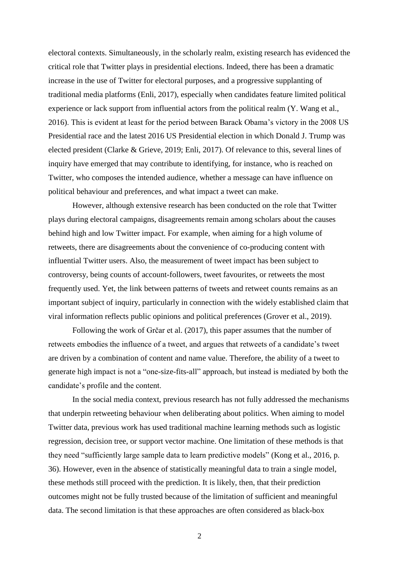electoral contexts. Simultaneously, in the scholarly realm, existing research has evidenced the critical role that Twitter plays in presidential elections. Indeed, there has been a dramatic increase in the use of Twitter for electoral purposes, and a progressive supplanting of traditional media platforms (Enli, 2017), especially when candidates feature limited political experience or lack support from influential actors from the political realm (Y. Wang et al., 2016). This is evident at least for the period between Barack Obama's victory in the 2008 US Presidential race and the latest 2016 US Presidential election in which Donald J. Trump was elected president (Clarke & Grieve, 2019; Enli, 2017). Of relevance to this, several lines of inquiry have emerged that may contribute to identifying, for instance, who is reached on Twitter, who composes the intended audience, whether a message can have influence on political behaviour and preferences, and what impact a tweet can make.

However, although extensive research has been conducted on the role that Twitter plays during electoral campaigns, disagreements remain among scholars about the causes behind high and low Twitter impact. For example, when aiming for a high volume of retweets, there are disagreements about the convenience of co-producing content with influential Twitter users. Also, the measurement of tweet impact has been subject to controversy, being counts of account-followers, tweet favourites, or retweets the most frequently used. Yet, the link between patterns of tweets and retweet counts remains as an important subject of inquiry, particularly in connection with the widely established claim that viral information reflects public opinions and political preferences (Grover et al., 2019).

Following the work of Grčar et al. (2017), this paper assumes that the number of retweets embodies the influence of a tweet, and argues that retweets of a candidate's tweet are driven by a combination of content and name value. Therefore, the ability of a tweet to generate high impact is not a "one-size-fits-all" approach, but instead is mediated by both the candidate's profile and the content.

In the social media context, previous research has not fully addressed the mechanisms that underpin retweeting behaviour when deliberating about politics. When aiming to model Twitter data, previous work has used traditional machine learning methods such as logistic regression, decision tree, or support vector machine. One limitation of these methods is that they need "sufficiently large sample data to learn predictive models" (Kong et al., 2016, p. 36). However, even in the absence of statistically meaningful data to train a single model, these methods still proceed with the prediction. It is likely, then, that their prediction outcomes might not be fully trusted because of the limitation of sufficient and meaningful data. The second limitation is that these approaches are often considered as black-box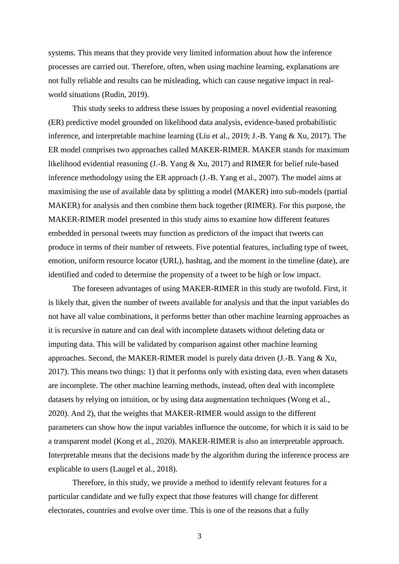systems. This means that they provide very limited information about how the inference processes are carried out. Therefore, often, when using machine learning, explanations are not fully reliable and results can be misleading, which can cause negative impact in realworld situations (Rudin, 2019).

This study seeks to address these issues by proposing a novel evidential reasoning (ER) predictive model grounded on likelihood data analysis, evidence-based probabilistic inference, and interpretable machine learning (Liu et al., 2019; J.-B. Yang & Xu, 2017). The ER model comprises two approaches called MAKER-RIMER. MAKER stands for maximum likelihood evidential reasoning (J.-B. Yang & Xu, 2017) and RIMER for belief rule-based inference methodology using the ER approach (J.-B. Yang et al., 2007). The model aims at maximising the use of available data by splitting a model (MAKER) into sub-models (partial MAKER) for analysis and then combine them back together (RIMER). For this purpose, the MAKER-RIMER model presented in this study aims to examine how different features embedded in personal tweets may function as predictors of the impact that tweets can produce in terms of their number of retweets. Five potential features, including type of tweet, emotion, uniform resource locator (URL), hashtag, and the moment in the timeline (date), are identified and coded to determine the propensity of a tweet to be high or low impact.

The foreseen advantages of using MAKER-RIMER in this study are twofold. First, it is likely that, given the number of tweets available for analysis and that the input variables do not have all value combinations, it performs better than other machine learning approaches as it is recursive in nature and can deal with incomplete datasets without deleting data or imputing data. This will be validated by comparison against other machine learning approaches. Second, the MAKER-RIMER model is purely data driven (J.-B. Yang & Xu, 2017). This means two things: 1) that it performs only with existing data, even when datasets are incomplete. The other machine learning methods, instead, often deal with incomplete datasets by relying on intuition, or by using data augmentation techniques (Wong et al., 2020). And 2), that the weights that MAKER-RIMER would assign to the different parameters can show how the input variables influence the outcome, for which it is said to be a transparent model (Kong et al., 2020). MAKER-RIMER is also an interpretable approach. Interpretable means that the decisions made by the algorithm during the inference process are explicable to users (Laugel et al., 2018).

Therefore, in this study, we provide a method to identify relevant features for a particular candidate and we fully expect that those features will change for different electorates, countries and evolve over time. This is one of the reasons that a fully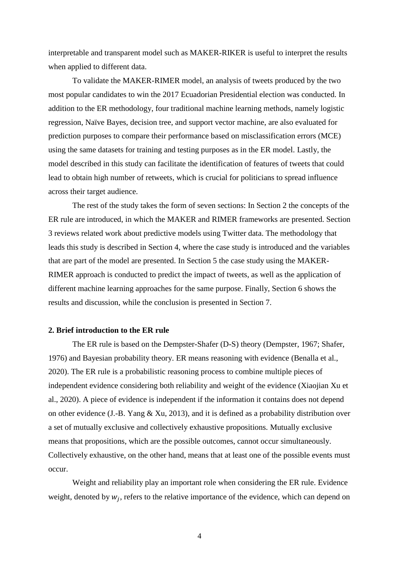interpretable and transparent model such as MAKER-RIKER is useful to interpret the results when applied to different data.

To validate the MAKER-RIMER model, an analysis of tweets produced by the two most popular candidates to win the 2017 Ecuadorian Presidential election was conducted. In addition to the ER methodology, four traditional machine learning methods, namely logistic regression, Naïve Bayes, decision tree, and support vector machine, are also evaluated for prediction purposes to compare their performance based on misclassification errors (MCE) using the same datasets for training and testing purposes as in the ER model. Lastly, the model described in this study can facilitate the identification of features of tweets that could lead to obtain high number of retweets, which is crucial for politicians to spread influence across their target audience.

The rest of the study takes the form of seven sections: In Section 2 the concepts of the ER rule are introduced, in which the MAKER and RIMER frameworks are presented. Section 3 reviews related work about predictive models using Twitter data. The methodology that leads this study is described in Section 4, where the case study is introduced and the variables that are part of the model are presented. In Section 5 the case study using the MAKER-RIMER approach is conducted to predict the impact of tweets, as well as the application of different machine learning approaches for the same purpose. Finally, Section 6 shows the results and discussion, while the conclusion is presented in Section 7.

#### **2. Brief introduction to the ER rule**

The ER rule is based on the Dempster-Shafer (D-S) theory (Dempster, 1967; Shafer, 1976) and Bayesian probability theory. ER means reasoning with evidence (Benalla et al., 2020). The ER rule is a probabilistic reasoning process to combine multiple pieces of independent evidence considering both reliability and weight of the evidence (Xiaojian Xu et al., 2020). A piece of evidence is independent if the information it contains does not depend on other evidence (J.-B. Yang & Xu, 2013), and it is defined as a probability distribution over a set of mutually exclusive and collectively exhaustive propositions. Mutually exclusive means that propositions, which are the possible outcomes, cannot occur simultaneously. Collectively exhaustive, on the other hand, means that at least one of the possible events must occur.

Weight and reliability play an important role when considering the ER rule. Evidence weight, denoted by  $w_j$ , refers to the relative importance of the evidence, which can depend on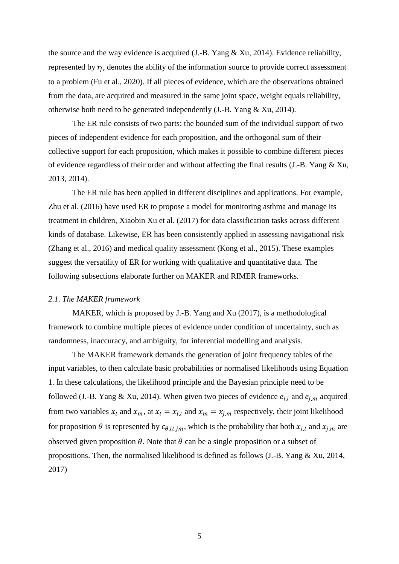the source and the way evidence is acquired (J.-B. Yang & Xu, 2014). Evidence reliability, represented by  $r_j$ , denotes the ability of the information source to provide correct assessment to a problem (Fu et al., 2020). If all pieces of evidence, which are the observations obtained from the data, are acquired and measured in the same joint space, weight equals reliability, otherwise both need to be generated independently (J.-B. Yang & Xu, 2014).

The ER rule consists of two parts: the bounded sum of the individual support of two pieces of independent evidence for each proposition, and the orthogonal sum of their collective support for each proposition, which makes it possible to combine different pieces of evidence regardless of their order and without affecting the final results (J.-B. Yang  $\&$  Xu, 2013, 2014).

The ER rule has been applied in different disciplines and applications. For example, Zhu et al. (2016) have used ER to propose a model for monitoring asthma and manage its treatment in children, Xiaobin Xu et al. (2017) for data classification tasks across different kinds of database. Likewise, ER has been consistently applied in assessing navigational risk (Zhang et al., 2016) and medical quality assessment (Kong et al., 2015). These examples suggest the versatility of ER for working with qualitative and quantitative data. The following subsections elaborate further on MAKER and RIMER frameworks.

#### *2.1. The MAKER framework*

MAKER, which is proposed by J.-B. Yang and Xu (2017), is a methodological framework to combine multiple pieces of evidence under condition of uncertainty, such as randomness, inaccuracy, and ambiguity, for inferential modelling and analysis.

The MAKER framework demands the generation of joint frequency tables of the input variables, to then calculate basic probabilities or normalised likelihoods using Equation 1. In these calculations, the likelihood principle and the Bayesian principle need to be followed (J.-B. Yang & Xu, 2014). When given two pieces of evidence  $e_{i,l}$  and  $e_{j,m}$  acquired from two variables  $x_l$  and  $x_m$ , at  $x_l = x_{i,l}$  and  $x_m = x_{j,m}$  respectively, their joint likelihood for proposition  $\theta$  is represented by  $c_{\theta, i l, j m}$ , which is the probability that both  $x_{i,l}$  and  $x_{j,m}$  are observed given proposition  $\theta$ . Note that  $\theta$  can be a single proposition or a subset of propositions. Then, the normalised likelihood is defined as follows (J.-B. Yang & Xu, 2014, 2017)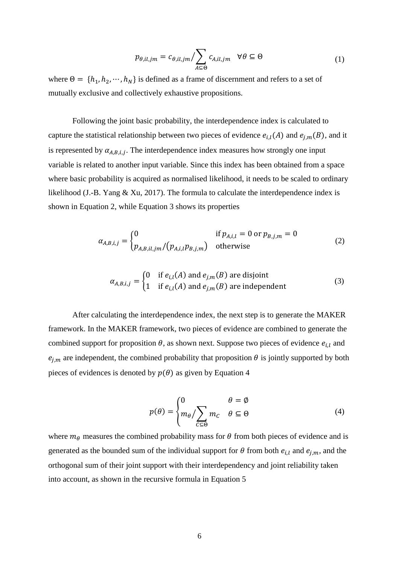$$
p_{\theta,il,jm} = c_{\theta,il,jm} / \sum_{A \subseteq \Theta} c_{A,il,jm} \quad \forall \theta \subseteq \Theta
$$
 (1)

where  $\Theta = \{h_1, h_2, \dots, h_N\}$  is defined as a frame of discernment and refers to a set of mutually exclusive and collectively exhaustive propositions.

Following the joint basic probability, the interdependence index is calculated to capture the statistical relationship between two pieces of evidence  $e_{i,l}(A)$  and  $e_{j,m}(B)$ , and it is represented by  $\alpha_{A,B,i,j}$ . The interdependence index measures how strongly one input variable is related to another input variable. Since this index has been obtained from a space where basic probability is acquired as normalised likelihood, it needs to be scaled to ordinary likelihood (J.-B. Yang & Xu, 2017). The formula to calculate the interdependence index is shown in Equation 2, while Equation 3 shows its properties

$$
\alpha_{A,B,i,j} = \begin{cases} 0 & \text{if } p_{A,i,l} = 0 \text{ or } p_{B,j,m} = 0\\ p_{A,B,il,jm} / (p_{A,i,l} p_{B,j,m}) & \text{otherwise} \end{cases}
$$
(2)

$$
\alpha_{A,B,i,j} = \begin{cases} 0 & \text{if } e_{i,l}(A) \text{ and } e_{j,m}(B) \text{ are disjoint} \\ 1 & \text{if } e_{i,l}(A) \text{ and } e_{j,m}(B) \text{ are independent} \end{cases}
$$
(3)

After calculating the interdependence index, the next step is to generate the MAKER framework. In the MAKER framework, two pieces of evidence are combined to generate the combined support for proposition  $\theta$ , as shown next. Suppose two pieces of evidence  $e_{i,l}$  and  $e_{j,m}$  are independent, the combined probability that proposition  $\theta$  is jointly supported by both pieces of evidences is denoted by  $p(\theta)$  as given by Equation 4

$$
p(\theta) = \begin{cases} 0 & \theta = \emptyset \\ m_{\theta} / \sum_{C \subseteq \Theta} m_C & \theta \subseteq \Theta \end{cases}
$$
 (4)

where  $m_{\theta}$  measures the combined probability mass for  $\theta$  from both pieces of evidence and is generated as the bounded sum of the individual support for  $\theta$  from both  $e_{i,l}$  and  $e_{j,m}$ , and the orthogonal sum of their joint support with their interdependency and joint reliability taken into account, as shown in the recursive formula in Equation 5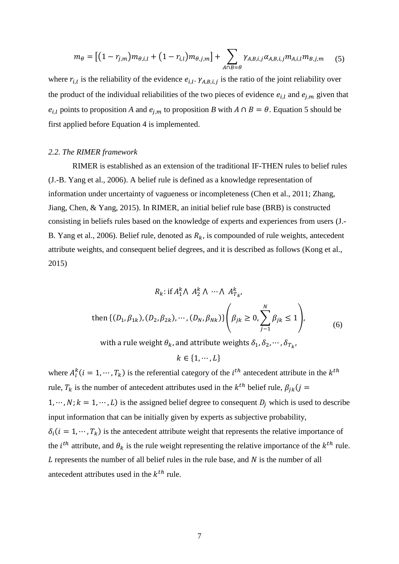$$
m_{\theta} = \left[ (1 - r_{j,m}) m_{\theta, i, l} + (1 - r_{i,l}) m_{\theta, j,m} \right] + \sum_{A \cap B = \theta} \gamma_{A, B, i, j} \alpha_{A, B, i, j} m_{A, i, l} m_{B, j, m} \tag{5}
$$

where  $r_{i,l}$  is the reliability of the evidence  $e_{i,l}$ .  $\gamma_{A,B,i,j}$  is the ratio of the joint reliability over the product of the individual reliabilities of the two pieces of evidence  $e_{i,l}$  and  $e_{j,m}$  given that  $e_{i,l}$  points to proposition *A* and  $e_{i,m}$  to proposition *B* with  $A \cap B = \theta$ . Equation 5 should be first applied before Equation 4 is implemented.

# *2.2. The RIMER framework*

RIMER is established as an extension of the traditional IF-THEN rules to belief rules (J.-B. Yang et al., 2006). A belief rule is defined as a knowledge representation of information under uncertainty of vagueness or incompleteness (Chen et al., 2011; Zhang, Jiang, Chen, & Yang, 2015). In RIMER, an initial belief rule base (BRB) is constructed consisting in beliefs rules based on the knowledge of experts and experiences from users (J.- B. Yang et al., 2006). Belief rule, denoted as  $R_k$ , is compounded of rule weights, antecedent attribute weights, and consequent belief degrees, and it is described as follows (Kong et al., 2015)

$$
R_k: \text{if } A_1^k \wedge A_2^k \wedge \dots \wedge A_{T_k}^k,
$$
  
then  $\{(D_1, \beta_{1k}), (D_2, \beta_{2k}), \dots, (D_N, \beta_{Nk})\} \left(\beta_{jk} \ge 0, \sum_{j=1}^N \beta_{jk} \le 1\right),$  (6)

with a rule weight  $\theta_k$ , and attribute weights  $\delta_1, \delta_2, \cdots$  ,  $\delta_{T_k}$ ,

$$
k \in \{1, \cdots, L\}
$$

where  $A_i^k$  ( $i = 1, \dots, T_k$ ) is the referential category of the  $i^{th}$  antecedent attribute in the  $k^{th}$ rule,  $T_k$  is the number of antecedent attributes used in the  $k^{th}$  belief rule,  $\beta_{jk} (j =$  $1, \dots, N; k = 1, \dots, L$  is the assigned belief degree to consequent  $D_i$  which is used to describe input information that can be initially given by experts as subjective probability,  $\delta_i$  (*i* = 1,  $\cdots$ ,  $T_k$ ) is the antecedent attribute weight that represents the relative importance of the *i*<sup>th</sup> attribute, and  $\theta_k$  is the rule weight representing the relative importance of the *k*<sup>th</sup> rule.  $L$  represents the number of all belief rules in the rule base, and  $N$  is the number of all antecedent attributes used in the  $k^{th}$  rule.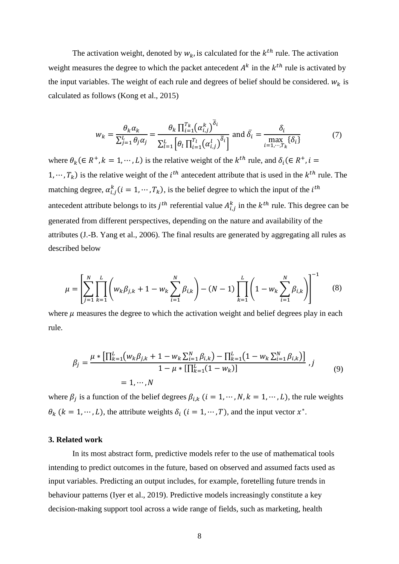The activation weight, denoted by  $w_k$ , is calculated for the  $k^{th}$  rule. The activation weight measures the degree to which the packet antecedent  $A^k$  in the  $k^{th}$  rule is activated by the input variables. The weight of each rule and degrees of belief should be considered.  $w_k$  is calculated as follows (Kong et al., 2015)

$$
w_k = \frac{\theta_k \alpha_k}{\sum_{j=1}^L \theta_j \alpha_j} = \frac{\theta_k \prod_{i=1}^T (\alpha_{i,j}^k)^{\overline{\delta}_i}}{\sum_{l=1}^L [\theta_l \prod_{i=1}^T (\alpha_{i,j}^l)^{\overline{\delta}_i}]} \text{ and } \overline{\delta}_i = \frac{\delta_i}{\max\limits_{i=1,\dots,T_k} {\{\delta_i\}}}
$$
(7)

where  $\theta_k$  ( $\in R^+, k = 1, \dots, L$ ) is the relative weight of the  $k^{th}$  rule, and  $\delta_i$  ( $\in R^+, i =$ 1,  $\cdots$ ,  $T_k$ ) is the relative weight of the *i*<sup>th</sup> antecedent attribute that is used in the *k*<sup>th</sup> rule. The matching degree,  $\alpha_{i,j}^k(i = 1, \dots, T_k)$ , is the belief degree to which the input of the  $i^{th}$ antecedent attribute belongs to its  $j<sup>th</sup>$  referential value  $A<sup>k</sup><sub>i,j</sub>$  in the  $k<sup>th</sup>$  rule. This degree can be generated from different perspectives, depending on the nature and availability of the attributes (J.-B. Yang et al., 2006). The final results are generated by aggregating all rules as described below

$$
\mu = \left[ \sum_{j=1}^{N} \prod_{k=1}^{L} \left( w_k \beta_{j,k} + 1 - w_k \sum_{i=1}^{N} \beta_{i,k} \right) - (N-1) \prod_{k=1}^{L} \left( 1 - w_k \sum_{i=1}^{N} \beta_{i,k} \right) \right]^{-1}
$$
(8)

where  $\mu$  measures the degree to which the activation weight and belief degrees play in each rule.

$$
\beta_j = \frac{\mu * [\prod_{k=1}^{L} (w_k \beta_{j,k} + 1 - w_k \sum_{i=1}^{N} \beta_{i,k}) - \prod_{k=1}^{L} (1 - w_k \sum_{i=1}^{N} \beta_{i,k})]}{1 - \mu * [\prod_{k=1}^{L} (1 - w_k)]}, j
$$
\n
$$
= 1, \cdots, N
$$
\n(9)

where  $\beta_j$  is a function of the belief degrees  $\beta_{i,k}$  ( $i = 1, \dots, N, k = 1, \dots, L$ ), the rule weights  $\theta_k$  ( $k = 1, \dots, L$ ), the attribute weights  $\delta_i$  ( $i = 1, \dots, T$ ), and the input vector  $x^*$ .

#### **3. Related work**

In its most abstract form, predictive models refer to the use of mathematical tools intending to predict outcomes in the future, based on observed and assumed facts used as input variables. Predicting an output includes, for example, foretelling future trends in behaviour patterns (Iyer et al., 2019). Predictive models increasingly constitute a key decision-making support tool across a wide range of fields, such as marketing, health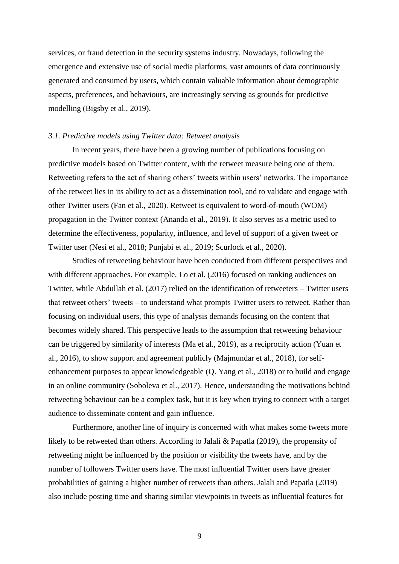services, or fraud detection in the security systems industry. Nowadays, following the emergence and extensive use of social media platforms, vast amounts of data continuously generated and consumed by users, which contain valuable information about demographic aspects, preferences, and behaviours, are increasingly serving as grounds for predictive modelling (Bigsby et al., 2019).

## *3.1. Predictive models using Twitter data: Retweet analysis*

In recent years, there have been a growing number of publications focusing on predictive models based on Twitter content, with the retweet measure being one of them. Retweeting refers to the act of sharing others' tweets within users' networks. The importance of the retweet lies in its ability to act as a dissemination tool, and to validate and engage with other Twitter users (Fan et al., 2020). Retweet is equivalent to word-of-mouth (WOM) propagation in the Twitter context (Ananda et al., 2019). It also serves as a metric used to determine the effectiveness, popularity, influence, and level of support of a given tweet or Twitter user (Nesi et al., 2018; Punjabi et al., 2019; Scurlock et al., 2020).

Studies of retweeting behaviour have been conducted from different perspectives and with different approaches. For example, Lo et al. (2016) focused on ranking audiences on Twitter, while Abdullah et al. (2017) relied on the identification of retweeters – Twitter users that retweet others' tweets – to understand what prompts Twitter users to retweet. Rather than focusing on individual users, this type of analysis demands focusing on the content that becomes widely shared. This perspective leads to the assumption that retweeting behaviour can be triggered by similarity of interests (Ma et al., 2019), as a reciprocity action (Yuan et al., 2016), to show support and agreement publicly (Majmundar et al., 2018), for selfenhancement purposes to appear knowledgeable (Q. Yang et al., 2018) or to build and engage in an online community (Soboleva et al., 2017). Hence, understanding the motivations behind retweeting behaviour can be a complex task, but it is key when trying to connect with a target audience to disseminate content and gain influence.

Furthermore, another line of inquiry is concerned with what makes some tweets more likely to be retweeted than others. According to Jalali & Papatla (2019), the propensity of retweeting might be influenced by the position or visibility the tweets have, and by the number of followers Twitter users have. The most influential Twitter users have greater probabilities of gaining a higher number of retweets than others. Jalali and Papatla (2019) also include posting time and sharing similar viewpoints in tweets as influential features for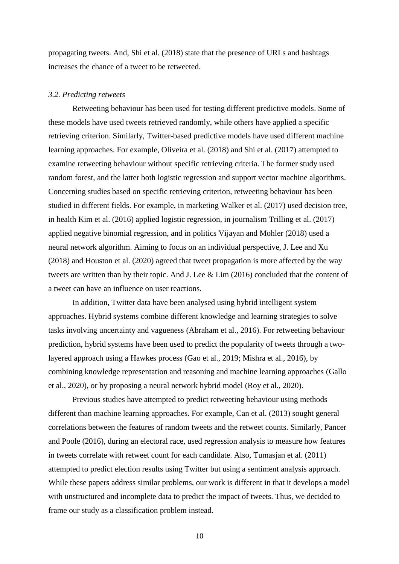propagating tweets. And, Shi et al. (2018) state that the presence of URLs and hashtags increases the chance of a tweet to be retweeted.

#### *3.2. Predicting retweets*

Retweeting behaviour has been used for testing different predictive models. Some of these models have used tweets retrieved randomly, while others have applied a specific retrieving criterion. Similarly, Twitter-based predictive models have used different machine learning approaches. For example, Oliveira et al. (2018) and Shi et al. (2017) attempted to examine retweeting behaviour without specific retrieving criteria. The former study used random forest, and the latter both logistic regression and support vector machine algorithms. Concerning studies based on specific retrieving criterion, retweeting behaviour has been studied in different fields. For example, in marketing Walker et al. (2017) used decision tree, in health Kim et al. (2016) applied logistic regression, in journalism Trilling et al. (2017) applied negative binomial regression, and in politics Vijayan and Mohler (2018) used a neural network algorithm. Aiming to focus on an individual perspective, J. Lee and Xu (2018) and Houston et al. (2020) agreed that tweet propagation is more affected by the way tweets are written than by their topic. And J. Lee & Lim (2016) concluded that the content of a tweet can have an influence on user reactions.

In addition, Twitter data have been analysed using hybrid intelligent system approaches. Hybrid systems combine different knowledge and learning strategies to solve tasks involving uncertainty and vagueness (Abraham et al., 2016). For retweeting behaviour prediction, hybrid systems have been used to predict the popularity of tweets through a twolayered approach using a Hawkes process (Gao et al., 2019; Mishra et al., 2016), by combining knowledge representation and reasoning and machine learning approaches (Gallo et al., 2020), or by proposing a neural network hybrid model (Roy et al., 2020).

Previous studies have attempted to predict retweeting behaviour using methods different than machine learning approaches. For example, Can et al. (2013) sought general correlations between the features of random tweets and the retweet counts. Similarly, Pancer and Poole (2016), during an electoral race, used regression analysis to measure how features in tweets correlate with retweet count for each candidate. Also, Tumasjan et al. (2011) attempted to predict election results using Twitter but using a sentiment analysis approach. While these papers address similar problems, our work is different in that it develops a model with unstructured and incomplete data to predict the impact of tweets. Thus, we decided to frame our study as a classification problem instead.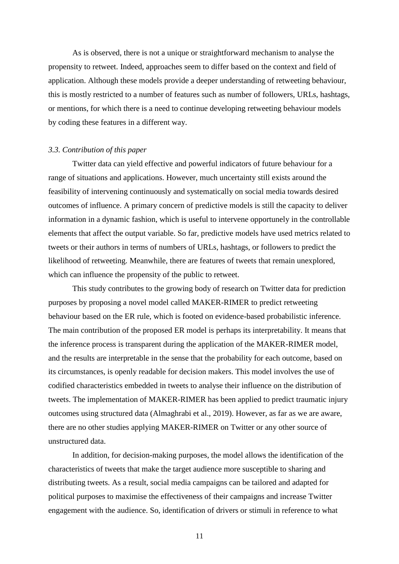As is observed, there is not a unique or straightforward mechanism to analyse the propensity to retweet. Indeed, approaches seem to differ based on the context and field of application. Although these models provide a deeper understanding of retweeting behaviour, this is mostly restricted to a number of features such as number of followers, URLs, hashtags, or mentions, for which there is a need to continue developing retweeting behaviour models by coding these features in a different way.

#### *3.3. Contribution of this paper*

Twitter data can yield effective and powerful indicators of future behaviour for a range of situations and applications. However, much uncertainty still exists around the feasibility of intervening continuously and systematically on social media towards desired outcomes of influence. A primary concern of predictive models is still the capacity to deliver information in a dynamic fashion, which is useful to intervene opportunely in the controllable elements that affect the output variable. So far, predictive models have used metrics related to tweets or their authors in terms of numbers of URLs, hashtags, or followers to predict the likelihood of retweeting. Meanwhile, there are features of tweets that remain unexplored, which can influence the propensity of the public to retweet.

This study contributes to the growing body of research on Twitter data for prediction purposes by proposing a novel model called MAKER-RIMER to predict retweeting behaviour based on the ER rule, which is footed on evidence-based probabilistic inference. The main contribution of the proposed ER model is perhaps its interpretability. It means that the inference process is transparent during the application of the MAKER-RIMER model, and the results are interpretable in the sense that the probability for each outcome, based on its circumstances, is openly readable for decision makers. This model involves the use of codified characteristics embedded in tweets to analyse their influence on the distribution of tweets. The implementation of MAKER-RIMER has been applied to predict traumatic injury outcomes using structured data (Almaghrabi et al., 2019). However, as far as we are aware, there are no other studies applying MAKER-RIMER on Twitter or any other source of unstructured data.

In addition, for decision-making purposes, the model allows the identification of the characteristics of tweets that make the target audience more susceptible to sharing and distributing tweets. As a result, social media campaigns can be tailored and adapted for political purposes to maximise the effectiveness of their campaigns and increase Twitter engagement with the audience. So, identification of drivers or stimuli in reference to what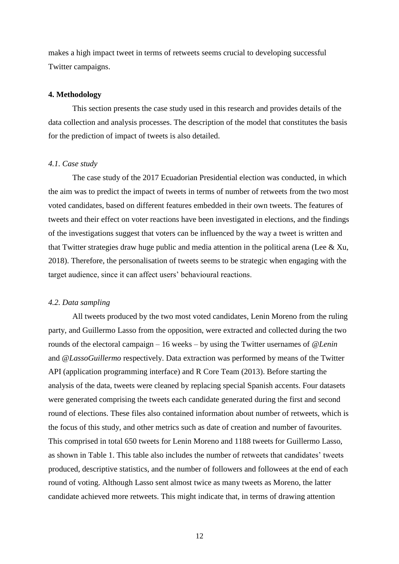makes a high impact tweet in terms of retweets seems crucial to developing successful Twitter campaigns.

#### **4. Methodology**

This section presents the case study used in this research and provides details of the data collection and analysis processes. The description of the model that constitutes the basis for the prediction of impact of tweets is also detailed.

#### *4.1. Case study*

The case study of the 2017 Ecuadorian Presidential election was conducted, in which the aim was to predict the impact of tweets in terms of number of retweets from the two most voted candidates, based on different features embedded in their own tweets. The features of tweets and their effect on voter reactions have been investigated in elections, and the findings of the investigations suggest that voters can be influenced by the way a tweet is written and that Twitter strategies draw huge public and media attention in the political arena (Lee & Xu, 2018). Therefore, the personalisation of tweets seems to be strategic when engaging with the target audience, since it can affect users' behavioural reactions.

#### *4.2. Data sampling*

All tweets produced by the two most voted candidates, Lenin Moreno from the ruling party, and Guillermo Lasso from the opposition, were extracted and collected during the two rounds of the electoral campaign – 16 weeks – by using the Twitter usernames of *@Lenin* and *@LassoGuillermo* respectively. Data extraction was performed by means of the Twitter API (application programming interface) and R Core Team (2013). Before starting the analysis of the data, tweets were cleaned by replacing special Spanish accents. Four datasets were generated comprising the tweets each candidate generated during the first and second round of elections. These files also contained information about number of retweets, which is the focus of this study, and other metrics such as date of creation and number of favourites. This comprised in total 650 tweets for Lenin Moreno and 1188 tweets for Guillermo Lasso, as shown in [Table 1.](#page-13-0) This table also includes the number of retweets that candidates' tweets produced, descriptive statistics, and the number of followers and followees at the end of each round of voting. Although Lasso sent almost twice as many tweets as Moreno, the latter candidate achieved more retweets. This might indicate that, in terms of drawing attention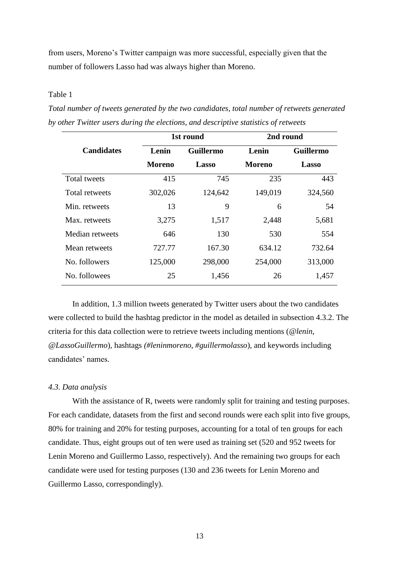from users, Moreno's Twitter campaign was more successful, especially given that the number of followers Lasso had was always higher than Moreno.

# <span id="page-13-0"></span>Table 1

*Total number of tweets generated by the two candidates, total number of retweets generated by other Twitter users during the elections, and descriptive statistics of retweets*

|                       |               | 1st round        | 2nd round     |                  |
|-----------------------|---------------|------------------|---------------|------------------|
| <b>Candidates</b>     | Lenin         | <b>Guillermo</b> | Lenin         | <b>Guillermo</b> |
|                       | <b>Moreno</b> | Lasso            | <b>Moreno</b> | Lasso            |
| <b>Total tweets</b>   | 415           | 745              | 235           | 443              |
| <b>Total retweets</b> | 302,026       | 124,642          | 149,019       | 324,560          |
| Min. retweets         | 13            | 9                | 6             | 54               |
| Max. retweets         | 3,275         | 1,517            | 2,448         | 5,681            |
| Median retweets       | 646           | 130              | 530           | 554              |
| Mean retweets         | 727.77        | 167.30           | 634.12        | 732.64           |
| No. followers         | 125,000       | 298,000          | 254,000       | 313,000          |
| No. followees         | 25            | 1,456            | 26            | 1,457            |
|                       |               |                  |               |                  |

In addition, 1.3 million tweets generated by Twitter users about the two candidates were collected to build the hashtag predictor in the model as detailed in subsection 4.3.2. The criteria for this data collection were to retrieve tweets including mentions (*@lenin*, *@LassoGuillermo*), hashtags *(#leninmoreno*, *#guillermolasso*), and keywords including candidates' names.

## *4.3. Data analysis*

With the assistance of R, tweets were randomly split for training and testing purposes. For each candidate, datasets from the first and second rounds were each split into five groups, 80% for training and 20% for testing purposes, accounting for a total of ten groups for each candidate. Thus, eight groups out of ten were used as training set (520 and 952 tweets for Lenin Moreno and Guillermo Lasso, respectively). And the remaining two groups for each candidate were used for testing purposes (130 and 236 tweets for Lenin Moreno and Guillermo Lasso, correspondingly).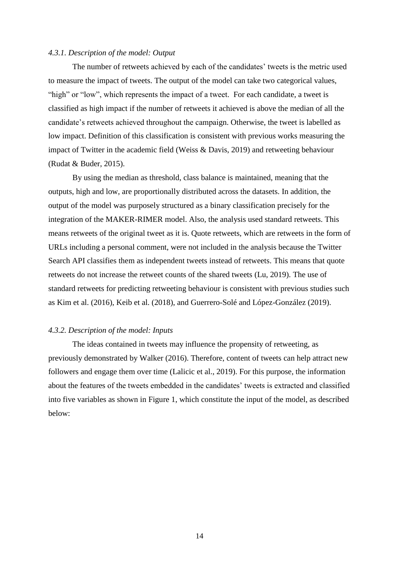#### *4.3.1. Description of the model: Output*

The number of retweets achieved by each of the candidates' tweets is the metric used to measure the impact of tweets. The output of the model can take two categorical values, "high" or "low", which represents the impact of a tweet. For each candidate, a tweet is classified as high impact if the number of retweets it achieved is above the median of all the candidate's retweets achieved throughout the campaign. Otherwise, the tweet is labelled as low impact. Definition of this classification is consistent with previous works measuring the impact of Twitter in the academic field (Weiss & Davis, 2019) and retweeting behaviour (Rudat & Buder, 2015).

By using the median as threshold, class balance is maintained, meaning that the outputs, high and low, are proportionally distributed across the datasets. In addition, the output of the model was purposely structured as a binary classification precisely for the integration of the MAKER-RIMER model. Also, the analysis used standard retweets. This means retweets of the original tweet as it is. Quote retweets, which are retweets in the form of URLs including a personal comment, were not included in the analysis because the Twitter Search API classifies them as independent tweets instead of retweets. This means that quote retweets do not increase the retweet counts of the shared tweets (Lu, 2019). The use of standard retweets for predicting retweeting behaviour is consistent with previous studies such as Kim et al. (2016), Keib et al. (2018), and Guerrero-Solé and López-González (2019).

#### *4.3.2. Description of the model: Inputs*

The ideas contained in tweets may influence the propensity of retweeting, as previously demonstrated by Walker (2016). Therefore, content of tweets can help attract new followers and engage them over time (Lalicic et al., 2019). For this purpose, the information about the features of the tweets embedded in the candidates' tweets is extracted and classified into five variables as shown in [Figure 1,](#page-15-0) which constitute the input of the model, as described below: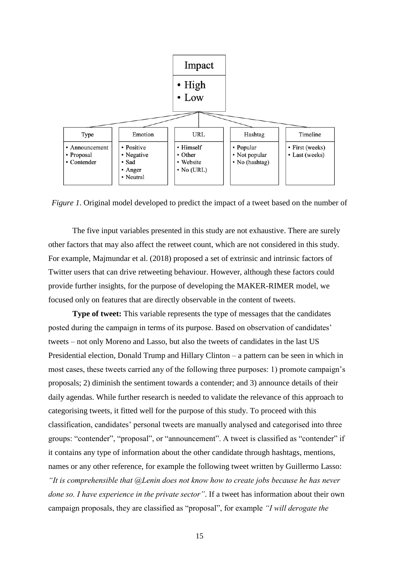

<span id="page-15-0"></span>*Figure 1*. Original model developed to predict the impact of a tweet based on the number of

The five input variables presented in this study are not exhaustive. There are surely other factors that may also affect the retweet count, which are not considered in this study. For example, Majmundar et al. (2018) proposed a set of extrinsic and intrinsic factors of Twitter users that can drive retweeting behaviour. However, although these factors could provide further insights, for the purpose of developing the MAKER-RIMER model, we focused only on features that are directly observable in the content of tweets.

**Type of tweet:** This variable represents the type of messages that the candidates posted during the campaign in terms of its purpose. Based on observation of candidates' tweets – not only Moreno and Lasso, but also the tweets of candidates in the last US Presidential election, Donald Trump and Hillary Clinton – a pattern can be seen in which in most cases, these tweets carried any of the following three purposes: 1) promote campaign's proposals; 2) diminish the sentiment towards a contender; and 3) announce details of their daily agendas. While further research is needed to validate the relevance of this approach to categorising tweets, it fitted well for the purpose of this study. To proceed with this classification, candidates' personal tweets are manually analysed and categorised into three groups: "contender", "proposal", or "announcement". A tweet is classified as "contender" if it contains any type of information about the other candidate through hashtags, mentions, names or any other reference, for example the following tweet written by Guillermo Lasso: *"It is comprehensible that @Lenin does not know how to create jobs because he has never done so. I have experience in the private sector"*. If a tweet has information about their own campaign proposals, they are classified as "proposal", for example *"I will derogate the*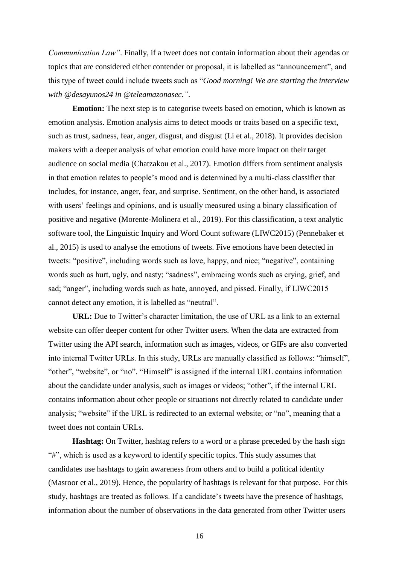*Communication Law"*. Finally, if a tweet does not contain information about their agendas or topics that are considered either contender or proposal, it is labelled as "announcement", and this type of tweet could include tweets such as "*Good morning! We are starting the interview with @desayunos24 in @teleamazonasec."*.

**Emotion:** The next step is to categorise tweets based on emotion, which is known as emotion analysis. Emotion analysis aims to detect moods or traits based on a specific text, such as trust, sadness, fear, anger, disgust, and disgust (Li et al., 2018). It provides decision makers with a deeper analysis of what emotion could have more impact on their target audience on social media (Chatzakou et al., 2017). Emotion differs from sentiment analysis in that emotion relates to people's mood and is determined by a multi-class classifier that includes, for instance, anger, fear, and surprise. Sentiment, on the other hand, is associated with users' feelings and opinions, and is usually measured using a binary classification of positive and negative (Morente-Molinera et al., 2019). For this classification, a text analytic software tool, the Linguistic Inquiry and Word Count software (LIWC2015) (Pennebaker et al., 2015) is used to analyse the emotions of tweets. Five emotions have been detected in tweets: "positive", including words such as love, happy, and nice; "negative", containing words such as hurt, ugly, and nasty; "sadness", embracing words such as crying, grief, and sad; "anger", including words such as hate, annoyed, and pissed. Finally, if LIWC2015 cannot detect any emotion, it is labelled as "neutral".

**URL:** Due to Twitter's character limitation, the use of URL as a link to an external website can offer deeper content for other Twitter users. When the data are extracted from Twitter using the API search, information such as images, videos, or GIFs are also converted into internal Twitter URLs. In this study, URLs are manually classified as follows: "himself", "other", "website", or "no". "Himself" is assigned if the internal URL contains information about the candidate under analysis, such as images or videos; "other", if the internal URL contains information about other people or situations not directly related to candidate under analysis; "website" if the URL is redirected to an external website; or "no", meaning that a tweet does not contain URLs.

**Hashtag:** On Twitter, hashtag refers to a word or a phrase preceded by the hash sign "#", which is used as a keyword to identify specific topics. This study assumes that candidates use hashtags to gain awareness from others and to build a political identity (Masroor et al., 2019). Hence, the popularity of hashtags is relevant for that purpose. For this study, hashtags are treated as follows. If a candidate's tweets have the presence of hashtags, information about the number of observations in the data generated from other Twitter users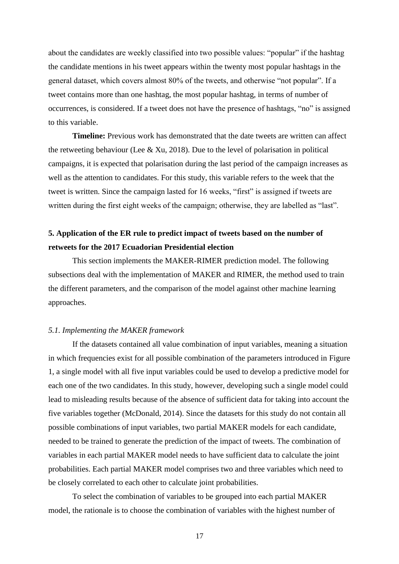about the candidates are weekly classified into two possible values: "popular" if the hashtag the candidate mentions in his tweet appears within the twenty most popular hashtags in the general dataset, which covers almost 80% of the tweets, and otherwise "not popular". If a tweet contains more than one hashtag, the most popular hashtag, in terms of number of occurrences, is considered. If a tweet does not have the presence of hashtags, "no" is assigned to this variable.

**Timeline:** Previous work has demonstrated that the date tweets are written can affect the retweeting behaviour (Lee & Xu, 2018). Due to the level of polarisation in political campaigns, it is expected that polarisation during the last period of the campaign increases as well as the attention to candidates. For this study, this variable refers to the week that the tweet is written. Since the campaign lasted for 16 weeks, "first" is assigned if tweets are written during the first eight weeks of the campaign; otherwise, they are labelled as "last".

# **5. Application of the ER rule to predict impact of tweets based on the number of retweets for the 2017 Ecuadorian Presidential election**

This section implements the MAKER-RIMER prediction model. The following subsections deal with the implementation of MAKER and RIMER, the method used to train the different parameters, and the comparison of the model against other machine learning approaches.

#### *5.1. Implementing the MAKER framework*

If the datasets contained all value combination of input variables, meaning a situation in which frequencies exist for all possible combination of the parameters introduced in [Figure](#page-15-0)  [1,](#page-15-0) a single model with all five input variables could be used to develop a predictive model for each one of the two candidates. In this study, however, developing such a single model could lead to misleading results because of the absence of sufficient data for taking into account the five variables together (McDonald, 2014). Since the datasets for this study do not contain all possible combinations of input variables, two partial MAKER models for each candidate, needed to be trained to generate the prediction of the impact of tweets. The combination of variables in each partial MAKER model needs to have sufficient data to calculate the joint probabilities. Each partial MAKER model comprises two and three variables which need to be closely correlated to each other to calculate joint probabilities.

To select the combination of variables to be grouped into each partial MAKER model, the rationale is to choose the combination of variables with the highest number of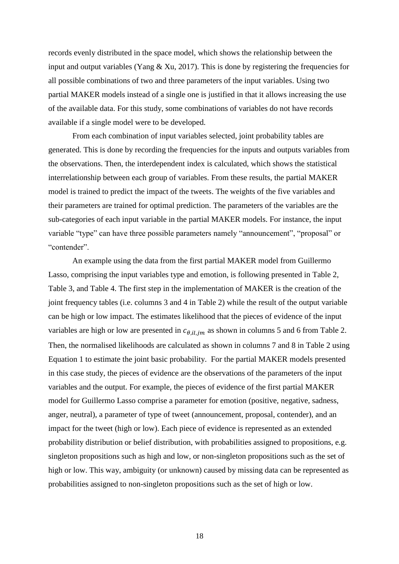records evenly distributed in the space model, which shows the relationship between the input and output variables (Yang  $& Xu$ , 2017). This is done by registering the frequencies for all possible combinations of two and three parameters of the input variables. Using two partial MAKER models instead of a single one is justified in that it allows increasing the use of the available data. For this study, some combinations of variables do not have records available if a single model were to be developed.

From each combination of input variables selected, joint probability tables are generated. This is done by recording the frequencies for the inputs and outputs variables from the observations. Then, the interdependent index is calculated, which shows the statistical interrelationship between each group of variables. From these results, the partial MAKER model is trained to predict the impact of the tweets. The weights of the five variables and their parameters are trained for optimal prediction. The parameters of the variables are the sub-categories of each input variable in the partial MAKER models. For instance, the input variable "type" can have three possible parameters namely "announcement", "proposal" or "contender".

An example using the data from the first partial MAKER model from Guillermo Lasso, comprising the input variables type and emotion, is following presented in [Table 2,](#page-19-0) [Table 3,](#page-20-0) and [Table 4.](#page-21-0) The first step in the implementation of MAKER is the creation of the joint frequency tables (i.e. columns 3 and 4 in [Table 2\)](#page-19-0) while the result of the output variable can be high or low impact. The estimates likelihood that the pieces of evidence of the input variables are high or low are presented in  $c_{\theta, i l, j m}$  as shown in columns 5 and 6 from [Table 2.](#page-19-0) Then, the normalised likelihoods are calculated as shown in columns 7 and 8 in [Table 2](#page-19-0) using Equation 1 to estimate the joint basic probability. For the partial MAKER models presented in this case study, the pieces of evidence are the observations of the parameters of the input variables and the output. For example, the pieces of evidence of the first partial MAKER model for Guillermo Lasso comprise a parameter for emotion (positive, negative, sadness, anger, neutral), a parameter of type of tweet (announcement, proposal, contender), and an impact for the tweet (high or low). Each piece of evidence is represented as an extended probability distribution or belief distribution, with probabilities assigned to propositions, e.g. singleton propositions such as high and low, or non-singleton propositions such as the set of high or low. This way, ambiguity (or unknown) caused by missing data can be represented as probabilities assigned to non-singleton propositions such as the set of high or low.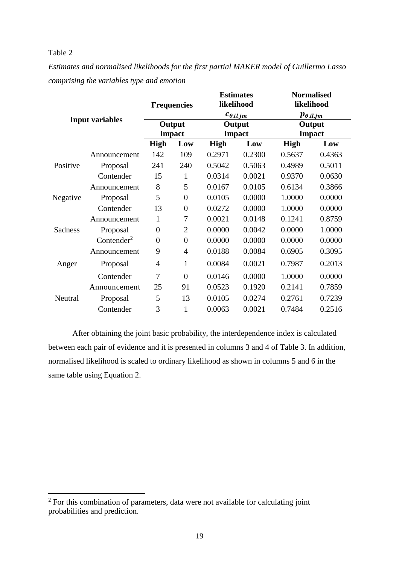<span id="page-19-0"></span>*Estimates and normalised likelihoods for the first partial MAKER model of Guillermo Lasso comprising the variables type and emotion*

|                |                        | <b>Frequencies</b> |                  | <b>Estimates</b><br>likelihood |                    | <b>Normalised</b><br>likelihood |               |
|----------------|------------------------|--------------------|------------------|--------------------------------|--------------------|---------------------------------|---------------|
|                | <b>Input variables</b> |                    |                  |                                | $c_{\theta,il,jm}$ | $p_{\theta,il,jm}$              |               |
|                |                        |                    | Output           |                                | Output             | Output                          |               |
|                |                        |                    | <b>Impact</b>    |                                | <b>Impact</b>      |                                 | <b>Impact</b> |
|                |                        | <b>High</b>        | Low              | <b>High</b>                    | Low                | <b>High</b>                     | Low           |
|                | Announcement           | 142                | 109              | 0.2971                         | 0.2300             | 0.5637                          | 0.4363        |
| Positive       | Proposal               | 241                | 240              | 0.5042                         | 0.5063             | 0.4989                          | 0.5011        |
|                | Contender              | 15                 | 1                | 0.0314                         | 0.0021             | 0.9370                          | 0.0630        |
|                | Announcement           | 8                  | 5                | 0.0167                         | 0.0105             | 0.6134                          | 0.3866        |
| Negative       | Proposal               | 5                  | $\boldsymbol{0}$ | 0.0105                         | 0.0000             | 1.0000                          | 0.0000        |
|                | Contender              | 13                 | $\boldsymbol{0}$ | 0.0272                         | 0.0000             | 1.0000                          | 0.0000        |
|                | Announcement           | 1                  | 7                | 0.0021                         | 0.0148             | 0.1241                          | 0.8759        |
| <b>Sadness</b> | Proposal               | $\boldsymbol{0}$   | $\overline{2}$   | 0.0000                         | 0.0042             | 0.0000                          | 1.0000        |
|                | Contenter <sup>2</sup> | $\boldsymbol{0}$   | $\boldsymbol{0}$ | 0.0000                         | 0.0000             | 0.0000                          | 0.0000        |
|                | Announcement           | 9                  | 4                | 0.0188                         | 0.0084             | 0.6905                          | 0.3095        |
| Anger          | Proposal               | 4                  | 1                | 0.0084                         | 0.0021             | 0.7987                          | 0.2013        |
|                | Contender              | 7                  | $\overline{0}$   | 0.0146                         | 0.0000             | 1.0000                          | 0.0000        |
|                | Announcement           | 25                 | 91               | 0.0523                         | 0.1920             | 0.2141                          | 0.7859        |
| Neutral        | Proposal               | 5                  | 13               | 0.0105                         | 0.0274             | 0.2761                          | 0.7239        |
|                | Contender              | 3                  | 1                | 0.0063                         | 0.0021             | 0.7484                          | 0.2516        |

After obtaining the joint basic probability, the interdependence index is calculated between each pair of evidence and it is presented in columns 3 and 4 of [Table 3.](#page-20-0) In addition, normalised likelihood is scaled to ordinary likelihood as shown in columns 5 and 6 in the same table using Equation 2.

 $2^2$  For this combination of parameters, data were not available for calculating joint probabilities and prediction.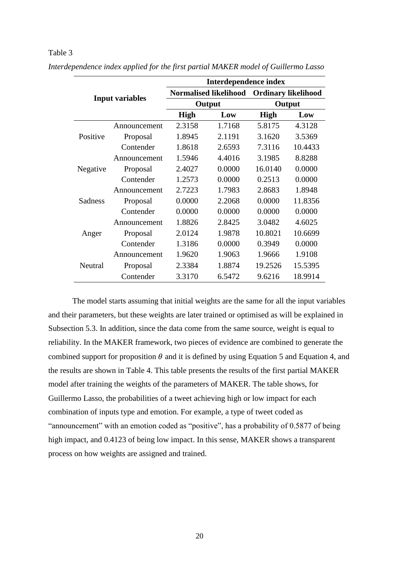|          |                        | Interdependence index        |        |                            |         |  |
|----------|------------------------|------------------------------|--------|----------------------------|---------|--|
|          |                        | <b>Normalised likelihood</b> |        | <b>Ordinary likelihood</b> |         |  |
|          | <b>Input variables</b> |                              | Output |                            | Output  |  |
|          |                        | <b>High</b>                  | Low    | <b>High</b>                | Low     |  |
|          | Announcement           | 2.3158                       | 1.7168 | 5.8175                     | 4.3128  |  |
| Positive | Proposal               | 1.8945                       | 2.1191 | 3.1620                     | 3.5369  |  |
|          | Contender              | 1.8618                       | 2.6593 | 7.3116                     | 10.4433 |  |
|          | Announcement           | 1.5946                       | 4.4016 | 3.1985                     | 8.8288  |  |
| Negative | Proposal               | 2.4027                       | 0.0000 | 16.0140                    | 0.0000  |  |
|          | Contender              | 1.2573                       | 0.0000 | 0.2513                     | 0.0000  |  |
|          | Announcement           | 2.7223                       | 1.7983 | 2.8683                     | 1.8948  |  |
| Sadness  | Proposal               | 0.0000                       | 2.2068 | 0.0000                     | 11.8356 |  |
|          | Contender              | 0.0000                       | 0.0000 | 0.0000                     | 0.0000  |  |
|          | Announcement           | 1.8826                       | 2.8425 | 3.0482                     | 4.6025  |  |
| Anger    | Proposal               | 2.0124                       | 1.9878 | 10.8021                    | 10.6699 |  |
|          | Contender              | 1.3186                       | 0.0000 | 0.3949                     | 0.0000  |  |
|          | Announcement           | 1.9620                       | 1.9063 | 1.9666                     | 1.9108  |  |
| Neutral  | Proposal               | 2.3384                       | 1.8874 | 19.2526                    | 15.5395 |  |
|          | Contender              | 3.3170                       | 6.5472 | 9.6216                     | 18.9914 |  |

<span id="page-20-0"></span>*Interdependence index applied for the first partial MAKER model of Guillermo Lasso*

The model starts assuming that initial weights are the same for all the input variables and their parameters, but these weights are later trained or optimised as will be explained in Subsection 5.3. In addition, since the data come from the same source, weight is equal to reliability. In the MAKER framework, two pieces of evidence are combined to generate the combined support for proposition  $\theta$  and it is defined by using Equation 5 and Equation 4, and the results are shown in Table 4. This table presents the results of the first partial MAKER model after training the weights of the parameters of MAKER. The table shows, for Guillermo Lasso, the probabilities of a tweet achieving high or low impact for each combination of inputs type and emotion. For example, a type of tweet coded as "announcement" with an emotion coded as "positive", has a probability of 0.5877 of being high impact, and  $0.4123$  of being low impact. In this sense, MAKER shows a transparent process on how weights are assigned and trained.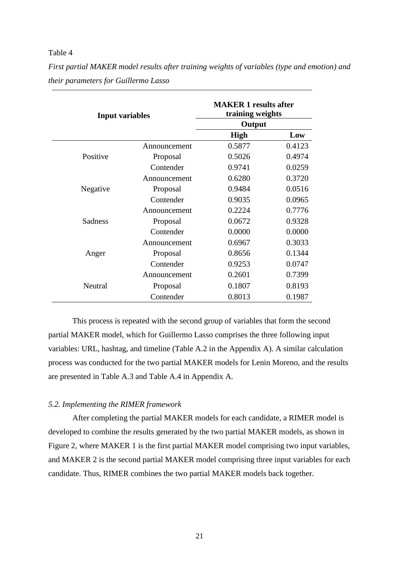<span id="page-21-0"></span>*First partial MAKER model results after training weights of variables (type and emotion) and their parameters for Guillermo Lasso*

| <b>Input variables</b> |              | <b>MAKER 1 results after</b><br>training weights |        |  |
|------------------------|--------------|--------------------------------------------------|--------|--|
|                        |              |                                                  |        |  |
|                        |              | <b>High</b>                                      | Low    |  |
|                        | Announcement | 0.5877                                           | 0.4123 |  |
| Positive               | Proposal     | 0.5026                                           | 0.4974 |  |
|                        | Contender    | 0.9741                                           | 0.0259 |  |
|                        | Announcement | 0.6280                                           | 0.3720 |  |
| Negative               | Proposal     | 0.9484                                           | 0.0516 |  |
|                        | Contender    | 0.9035                                           | 0.0965 |  |
|                        | Announcement | 0.2224                                           | 0.7776 |  |
| <b>Sadness</b>         | Proposal     | 0.0672                                           | 0.9328 |  |
|                        | Contender    | 0.0000                                           | 0.0000 |  |
|                        | Announcement | 0.6967                                           | 0.3033 |  |
| Anger                  | Proposal     | 0.8656                                           | 0.1344 |  |
|                        | Contender    | 0.9253                                           | 0.0747 |  |
|                        | Announcement | 0.2601                                           | 0.7399 |  |
| Neutral                | Proposal     | 0.1807                                           | 0.8193 |  |
|                        | Contender    | 0.8013                                           | 0.1987 |  |

This process is repeated with the second group of variables that form the second partial MAKER model, which for Guillermo Lasso comprises the three following input variables: URL, hashtag, and timeline (Table A.2 in the Appendix A). A similar calculation process was conducted for the two partial MAKER models for Lenin Moreno, and the results are presented in Table A.3 and Table A.4 in Appendix A.

# *5.2. Implementing the RIMER framework*

After completing the partial MAKER models for each candidate, a RIMER model is developed to combine the results generated by the two partial MAKER models, as shown in [Figure 2,](#page-22-0) where MAKER 1 is the first partial MAKER model comprising two input variables, and MAKER 2 is the second partial MAKER model comprising three input variables for each candidate. Thus, RIMER combines the two partial MAKER models back together.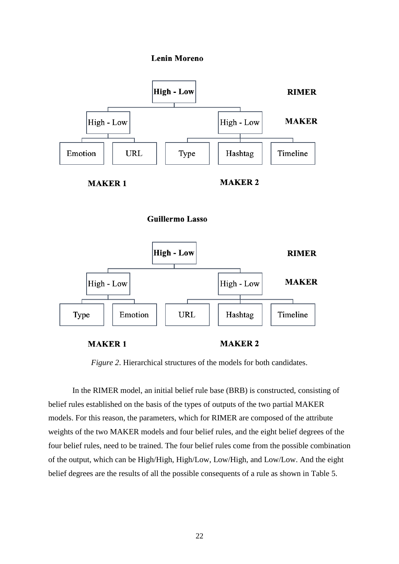







**MAKER 1** 

**MAKER 2** 

*Figure 2*. Hierarchical structures of the models for both candidates.

<span id="page-22-0"></span>In the RIMER model, an initial belief rule base (BRB) is constructed, consisting of belief rules established on the basis of the types of outputs of the two partial MAKER models. For this reason, the parameters, which for RIMER are composed of the attribute weights of the two MAKER models and four belief rules, and the eight belief degrees of the four belief rules, need to be trained. The four belief rules come from the possible combination of the output, which can be High/High, High/Low, Low/High, and Low/Low. And the eight belief degrees are the results of all the possible consequents of a rule as shown in Table 5.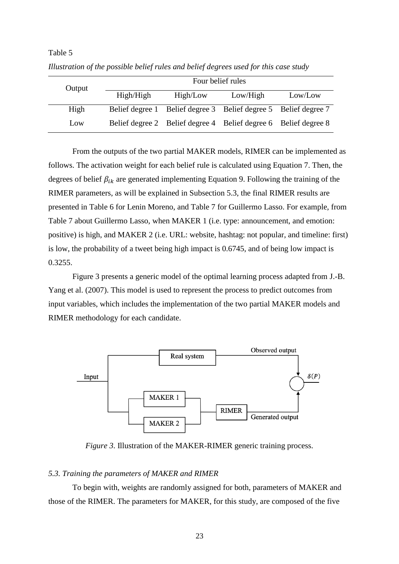| Output | Four belief rules |                                                                 |          |         |
|--------|-------------------|-----------------------------------------------------------------|----------|---------|
|        | High/High         | High/Low                                                        | Low/High | Low/Low |
| High   |                   | Belief degree 1 Belief degree 3 Belief degree 5 Belief degree 7 |          |         |
| Low    |                   | Belief degree 2 Belief degree 4 Belief degree 6 Belief degree 8 |          |         |

Table 5 *Illustration of the possible belief rules and belief degrees used for this case study*

From the outputs of the two partial MAKER models, RIMER can be implemented as follows. The activation weight for each belief rule is calculated using Equation 7. Then, the degrees of belief  $\beta_{ik}$  are generated implementing Equation 9. Following the training of the RIMER parameters, as will be explained in Subsection 5.3, the final RIMER results are presented in Table 6 for Lenin Moreno, and Table 7 for Guillermo Lasso. For example, from Table 7 about Guillermo Lasso, when MAKER 1 (i.e. type: announcement, and emotion: positive) is high, and MAKER 2 (i.e. URL: website, hashtag: not popular, and timeline: first) is low, the probability of a tweet being high impact is 0.6745, and of being low impact is 0.3255.

[Figure 3](#page-23-0) presents a generic model of the optimal learning process adapted from J.-B. Yang et al. (2007). This model is used to represent the process to predict outcomes from input variables, which includes the implementation of the two partial MAKER models and RIMER methodology for each candidate.



*Figure 3*. Illustration of the MAKER-RIMER generic training process.

# <span id="page-23-0"></span>*5.3. Training the parameters of MAKER and RIMER*

To begin with, weights are randomly assigned for both, parameters of MAKER and those of the RIMER. The parameters for MAKER, for this study, are composed of the five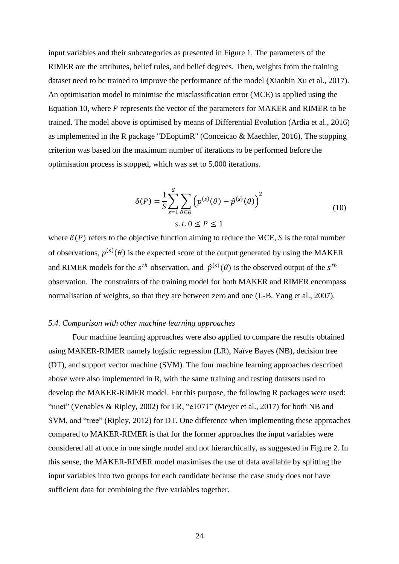input variables and their subcategories as presented in [Figure 1.](#page-15-0) The parameters of the RIMER are the attributes, belief rules, and belief degrees. Then, weights from the training dataset need to be trained to improve the performance of the model (Xiaobin Xu et al., 2017). An optimisation model to minimise the misclassification error (MCE) is applied using the Equation 10, where  *represents the vector of the parameters for MAKER and RIMER to be* trained. The model above is optimised by means of Differential Evolution (Ardia et al., 2016) as implemented in the R package "DEoptimR" (Conceicao & Maechler, 2016). The stopping criterion was based on the maximum number of iterations to be performed before the optimisation process is stopped, which was set to 5,000 iterations.

$$
\delta(P) = \frac{1}{S} \sum_{s=1}^{S} \sum_{\theta \subseteq \theta} \left( p^{(s)}(\theta) - \hat{p}^{(s)}(\theta) \right)^2
$$
  
s.t.  $0 \le P \le 1$  (10)

where  $\delta(P)$  refers to the objective function aiming to reduce the MCE, S is the total number of observations,  $p^{(s)}(\theta)$  is the expected score of the output generated by using the MAKER and RIMER models for the  $s^{th}$  observation, and  $\hat{p}^{(s)}(\theta)$  is the observed output of the  $s^{th}$ observation. The constraints of the training model for both MAKER and RIMER encompass normalisation of weights, so that they are between zero and one (J.-B. Yang et al., 2007).

#### *5.4. Comparison with other machine learning approaches*

Four machine learning approaches were also applied to compare the results obtained using MAKER-RIMER namely logistic regression (LR), Naïve Bayes (NB), decision tree (DT), and support vector machine (SVM). The four machine learning approaches described above were also implemented in R, with the same training and testing datasets used to develop the MAKER-RIMER model. For this purpose, the following R packages were used: "nnet" (Venables & Ripley, 2002) for LR, "e1071" (Meyer et al., 2017) for both NB and SVM, and "tree" (Ripley, 2012) for DT. One difference when implementing these approaches compared to MAKER-RIMER is that for the former approaches the input variables were considered all at once in one single model and not hierarchically, as suggested in [Figure 2.](#page-22-0) In this sense, the MAKER-RIMER model maximises the use of data available by splitting the input variables into two groups for each candidate because the case study does not have sufficient data for combining the five variables together.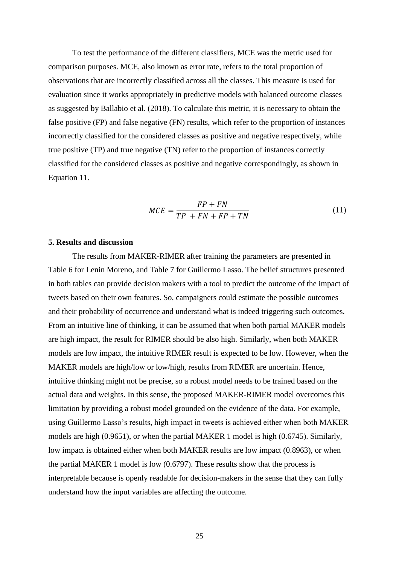To test the performance of the different classifiers, MCE was the metric used for comparison purposes. MCE, also known as error rate, refers to the total proportion of observations that are incorrectly classified across all the classes. This measure is used for evaluation since it works appropriately in predictive models with balanced outcome classes as suggested by Ballabio et al. (2018). To calculate this metric, it is necessary to obtain the false positive (FP) and false negative (FN) results, which refer to the proportion of instances incorrectly classified for the considered classes as positive and negative respectively, while true positive (TP) and true negative (TN) refer to the proportion of instances correctly classified for the considered classes as positive and negative correspondingly, as shown in Equation 11.

$$
MCE = \frac{FP + FN}{TP + FN + FP + TN} \tag{11}
$$

#### **5. Results and discussion**

The results from MAKER-RIMER after training the parameters are presented in Table 6 for Lenin Moreno, and Table 7 for Guillermo Lasso. The belief structures presented in both tables can provide decision makers with a tool to predict the outcome of the impact of tweets based on their own features. So, campaigners could estimate the possible outcomes and their probability of occurrence and understand what is indeed triggering such outcomes. From an intuitive line of thinking, it can be assumed that when both partial MAKER models are high impact, the result for RIMER should be also high. Similarly, when both MAKER models are low impact, the intuitive RIMER result is expected to be low. However, when the MAKER models are high/low or low/high, results from RIMER are uncertain. Hence, intuitive thinking might not be precise, so a robust model needs to be trained based on the actual data and weights. In this sense, the proposed MAKER-RIMER model overcomes this limitation by providing a robust model grounded on the evidence of the data. For example, using Guillermo Lasso's results, high impact in tweets is achieved either when both MAKER models are high (0.9651), or when the partial MAKER 1 model is high (0.6745). Similarly, low impact is obtained either when both MAKER results are low impact (0.8963), or when the partial MAKER 1 model is low (0.6797). These results show that the process is interpretable because is openly readable for decision-makers in the sense that they can fully understand how the input variables are affecting the outcome.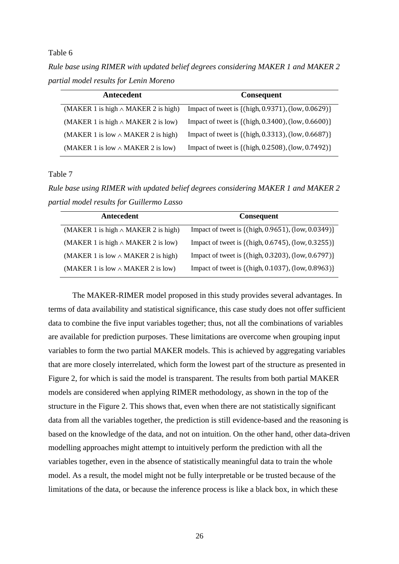*Rule base using RIMER with updated belief degrees considering MAKER 1 and MAKER 2 partial model results for Lenin Moreno*

| Antecedent                                | Consequent                                         |
|-------------------------------------------|----------------------------------------------------|
| (MAKER 1 is high $\land$ MAKER 2 is high) | Impact of tweet is {(high, 0.9371), (low, 0.0629)} |
| (MAKER 1 is high $\land$ MAKER 2 is low)  | Impact of tweet is {(high, 0.3400), (low, 0.6600)} |
| (MAKER 1 is low $\land$ MAKER 2 is high)  | Impact of tweet is {(high, 0.3313), (low, 0.6687)} |
| (MAKER 1 is low $\land$ MAKER 2 is low)   | Impact of tweet is {(high, 0.2508), (low, 0.7492)} |

# Table 7

*Rule base using RIMER with updated belief degrees considering MAKER 1 and MAKER 2 partial model results for Guillermo Lasso*

| Antecedent                                | <b>Consequent</b>                                  |
|-------------------------------------------|----------------------------------------------------|
| (MAKER 1 is high $\land$ MAKER 2 is high) | Impact of tweet is {(high, 0.9651), (low, 0.0349)} |
| (MAKER 1 is high $\land$ MAKER 2 is low)  | Impact of tweet is {(high, 0.6745), (low, 0.3255)} |
| (MAKER 1 is low $\land$ MAKER 2 is high)  | Impact of tweet is {(high, 0.3203), (low, 0.6797)} |
| (MAKER 1 is low $\land$ MAKER 2 is low)   | Impact of tweet is {(high, 0.1037), (low, 0.8963)} |

The MAKER-RIMER model proposed in this study provides several advantages. In terms of data availability and statistical significance, this case study does not offer sufficient data to combine the five input variables together; thus, not all the combinations of variables are available for prediction purposes. These limitations are overcome when grouping input variables to form the two partial MAKER models. This is achieved by aggregating variables that are more closely interrelated, which form the lowest part of the structure as presented in Figure 2, for which is said the model is transparent. The results from both partial MAKER models are considered when applying RIMER methodology, as shown in the top of the structure in the [Figure 2.](#page-22-0) This shows that, even when there are not statistically significant data from all the variables together, the prediction is still evidence-based and the reasoning is based on the knowledge of the data, and not on intuition. On the other hand, other data-driven modelling approaches might attempt to intuitively perform the prediction with all the variables together, even in the absence of statistically meaningful data to train the whole model. As a result, the model might not be fully interpretable or be trusted because of the limitations of the data, or because the inference process is like a black box, in which these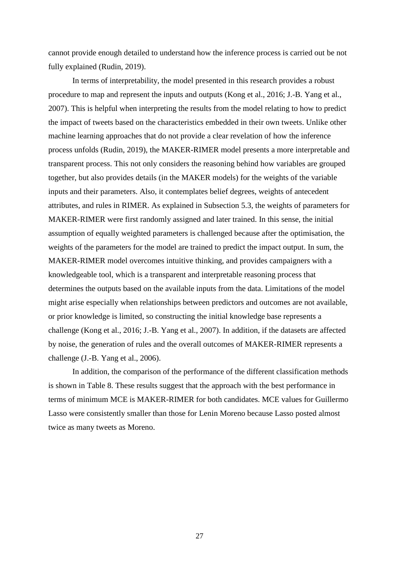cannot provide enough detailed to understand how the inference process is carried out be not fully explained (Rudin, 2019).

In terms of interpretability, the model presented in this research provides a robust procedure to map and represent the inputs and outputs (Kong et al., 2016; J.-B. Yang et al., 2007). This is helpful when interpreting the results from the model relating to how to predict the impact of tweets based on the characteristics embedded in their own tweets. Unlike other machine learning approaches that do not provide a clear revelation of how the inference process unfolds (Rudin, 2019), the MAKER-RIMER model presents a more interpretable and transparent process. This not only considers the reasoning behind how variables are grouped together, but also provides details (in the MAKER models) for the weights of the variable inputs and their parameters. Also, it contemplates belief degrees, weights of antecedent attributes, and rules in RIMER. As explained in Subsection 5.3, the weights of parameters for MAKER-RIMER were first randomly assigned and later trained. In this sense, the initial assumption of equally weighted parameters is challenged because after the optimisation, the weights of the parameters for the model are trained to predict the impact output. In sum, the MAKER-RIMER model overcomes intuitive thinking, and provides campaigners with a knowledgeable tool, which is a transparent and interpretable reasoning process that determines the outputs based on the available inputs from the data. Limitations of the model might arise especially when relationships between predictors and outcomes are not available, or prior knowledge is limited, so constructing the initial knowledge base represents a challenge (Kong et al., 2016; J.-B. Yang et al., 2007). In addition, if the datasets are affected by noise, the generation of rules and the overall outcomes of MAKER-RIMER represents a challenge (J.-B. Yang et al., 2006).

In addition, the comparison of the performance of the different classification methods is shown in Table 8. These results suggest that the approach with the best performance in terms of minimum MCE is MAKER-RIMER for both candidates. MCE values for Guillermo Lasso were consistently smaller than those for Lenin Moreno because Lasso posted almost twice as many tweets as Moreno.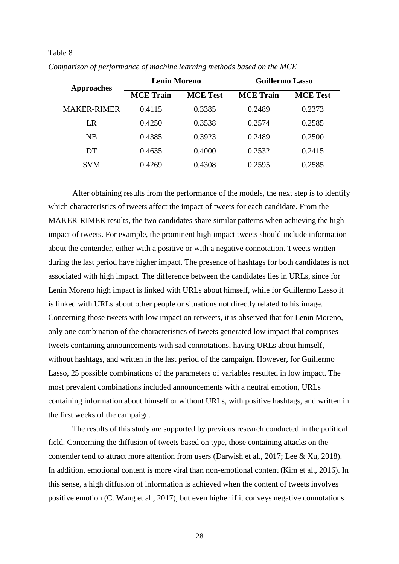| <b>Approaches</b>  | <b>Lenin Moreno</b> |                 | <b>Guillermo Lasso</b> |                 |
|--------------------|---------------------|-----------------|------------------------|-----------------|
|                    | <b>MCE</b> Train    | <b>MCE</b> Test | <b>MCE</b> Train       | <b>MCE Test</b> |
| <b>MAKER-RIMER</b> | 0.4115              | 0.3385          | 0.2489                 | 0.2373          |
| LR                 | 0.4250              | 0.3538          | 0.2574                 | 0.2585          |
| NB                 | 0.4385              | 0.3923          | 0.2489                 | 0.2500          |
| DT                 | 0.4635              | 0.4000          | 0.2532                 | 0.2415          |
| <b>SVM</b>         | 0.4269              | 0.4308          | 0.2595                 | 0.2585          |

*Comparison of performance of machine learning methods based on the MCE*

After obtaining results from the performance of the models, the next step is to identify which characteristics of tweets affect the impact of tweets for each candidate. From the MAKER-RIMER results, the two candidates share similar patterns when achieving the high impact of tweets. For example, the prominent high impact tweets should include information about the contender, either with a positive or with a negative connotation. Tweets written during the last period have higher impact. The presence of hashtags for both candidates is not associated with high impact. The difference between the candidates lies in URLs, since for Lenin Moreno high impact is linked with URLs about himself, while for Guillermo Lasso it is linked with URLs about other people or situations not directly related to his image. Concerning those tweets with low impact on retweets, it is observed that for Lenin Moreno, only one combination of the characteristics of tweets generated low impact that comprises tweets containing announcements with sad connotations, having URLs about himself, without hashtags, and written in the last period of the campaign. However, for Guillermo Lasso, 25 possible combinations of the parameters of variables resulted in low impact. The most prevalent combinations included announcements with a neutral emotion, URLs containing information about himself or without URLs, with positive hashtags, and written in the first weeks of the campaign.

The results of this study are supported by previous research conducted in the political field. Concerning the diffusion of tweets based on type, those containing attacks on the contender tend to attract more attention from users (Darwish et al., 2017; Lee & Xu, 2018). In addition, emotional content is more viral than non-emotional content (Kim et al., 2016). In this sense, a high diffusion of information is achieved when the content of tweets involves positive emotion (C. Wang et al., 2017), but even higher if it conveys negative connotations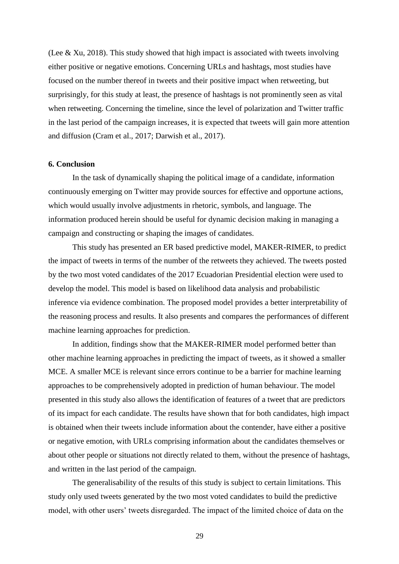(Lee & Xu, 2018). This study showed that high impact is associated with tweets involving either positive or negative emotions. Concerning URLs and hashtags, most studies have focused on the number thereof in tweets and their positive impact when retweeting, but surprisingly, for this study at least, the presence of hashtags is not prominently seen as vital when retweeting. Concerning the timeline, since the level of polarization and Twitter traffic in the last period of the campaign increases, it is expected that tweets will gain more attention and diffusion (Cram et al., 2017; Darwish et al., 2017).

#### **6. Conclusion**

In the task of dynamically shaping the political image of a candidate, information continuously emerging on Twitter may provide sources for effective and opportune actions, which would usually involve adjustments in rhetoric, symbols, and language. The information produced herein should be useful for dynamic decision making in managing a campaign and constructing or shaping the images of candidates.

This study has presented an ER based predictive model, MAKER-RIMER, to predict the impact of tweets in terms of the number of the retweets they achieved. The tweets posted by the two most voted candidates of the 2017 Ecuadorian Presidential election were used to develop the model. This model is based on likelihood data analysis and probabilistic inference via evidence combination. The proposed model provides a better interpretability of the reasoning process and results. It also presents and compares the performances of different machine learning approaches for prediction.

In addition, findings show that the MAKER-RIMER model performed better than other machine learning approaches in predicting the impact of tweets, as it showed a smaller MCE. A smaller MCE is relevant since errors continue to be a barrier for machine learning approaches to be comprehensively adopted in prediction of human behaviour. The model presented in this study also allows the identification of features of a tweet that are predictors of its impact for each candidate. The results have shown that for both candidates, high impact is obtained when their tweets include information about the contender, have either a positive or negative emotion, with URLs comprising information about the candidates themselves or about other people or situations not directly related to them, without the presence of hashtags, and written in the last period of the campaign.

The generalisability of the results of this study is subject to certain limitations. This study only used tweets generated by the two most voted candidates to build the predictive model, with other users' tweets disregarded. The impact of the limited choice of data on the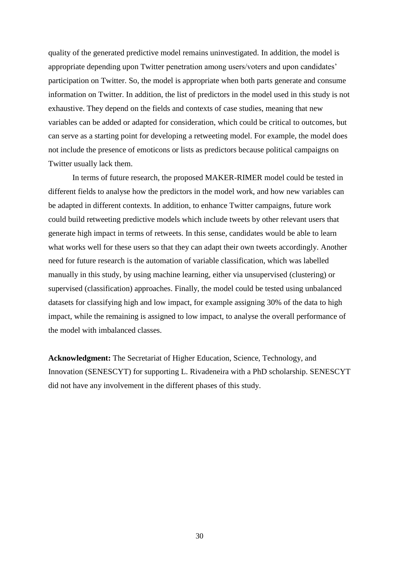quality of the generated predictive model remains uninvestigated. In addition, the model is appropriate depending upon Twitter penetration among users/voters and upon candidates' participation on Twitter. So, the model is appropriate when both parts generate and consume information on Twitter. In addition, the list of predictors in the model used in this study is not exhaustive. They depend on the fields and contexts of case studies, meaning that new variables can be added or adapted for consideration, which could be critical to outcomes, but can serve as a starting point for developing a retweeting model. For example, the model does not include the presence of emoticons or lists as predictors because political campaigns on Twitter usually lack them.

In terms of future research, the proposed MAKER-RIMER model could be tested in different fields to analyse how the predictors in the model work, and how new variables can be adapted in different contexts. In addition, to enhance Twitter campaigns, future work could build retweeting predictive models which include tweets by other relevant users that generate high impact in terms of retweets. In this sense, candidates would be able to learn what works well for these users so that they can adapt their own tweets accordingly. Another need for future research is the automation of variable classification, which was labelled manually in this study, by using machine learning, either via unsupervised (clustering) or supervised (classification) approaches. Finally, the model could be tested using unbalanced datasets for classifying high and low impact, for example assigning 30% of the data to high impact, while the remaining is assigned to low impact, to analyse the overall performance of the model with imbalanced classes.

**Acknowledgment:** The Secretariat of Higher Education, Science, Technology, and Innovation (SENESCYT) for supporting L. Rivadeneira with a PhD scholarship. SENESCYT did not have any involvement in the different phases of this study.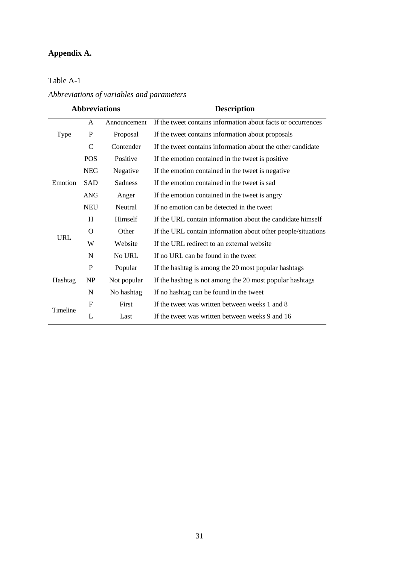# **Appendix A.**

*Abbreviations of variables and parameters*

| <b>Abbreviations</b>   |               |                | <b>Description</b>                                           |
|------------------------|---------------|----------------|--------------------------------------------------------------|
|                        | A             | Announcement   | If the tweet contains information about facts or occurrences |
| Type                   | P             | Proposal       | If the tweet contains information about proposals            |
|                        | $\mathcal{C}$ | Contender      | If the tweet contains information about the other candidate  |
|                        | <b>POS</b>    | Positive       | If the emotion contained in the tweet is positive            |
|                        | <b>NEG</b>    | Negative       | If the emotion contained in the tweet is negative            |
| Emotion                | <b>SAD</b>    | <b>Sadness</b> | If the emotion contained in the tweet is sad                 |
| <b>ANG</b>             |               | Anger          | If the emotion contained in the tweet is angry               |
|                        | <b>NEU</b>    | Neutral        | If no emotion can be detected in the tweet                   |
|                        | H             | Himself        | If the URL contain information about the candidate himself   |
| $\Omega$<br><b>URL</b> |               | Other          | If the URL contain information about other people/situations |
|                        | W             | Website        | If the URL redirect to an external website                   |
|                        | $\mathbf N$   | No URL         | If no URL can be found in the tweet                          |
|                        | P             | Popular        | If the hashtag is among the 20 most popular hashtags         |
| Hashtag                | <b>NP</b>     | Not popular    | If the hashtag is not among the 20 most popular hashtags     |
|                        | ${\bf N}$     | No hashtag     | If no hashtag can be found in the tweet                      |
| Timeline               | F             | First          | If the tweet was written between weeks 1 and 8               |
| L                      |               | Last           | If the tweet was written between weeks 9 and 16              |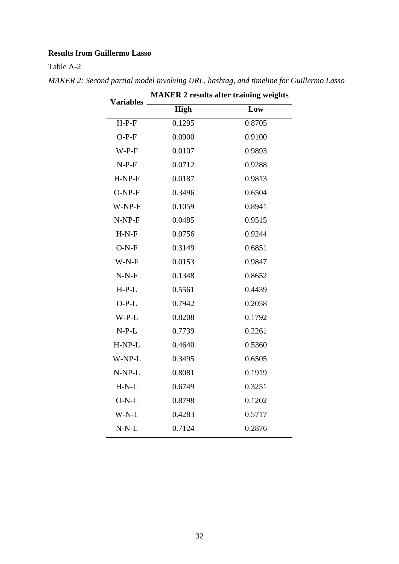# **Results from Guillermo Lasso**

| <b>Variables</b> | <b>MAKER 2 results after training weights</b> |        |  |  |  |
|------------------|-----------------------------------------------|--------|--|--|--|
|                  | <b>High</b>                                   | Low    |  |  |  |
| $H-P-F$          | 0.1295                                        | 0.8705 |  |  |  |
| $O-P-F$          | 0.0900                                        | 0.9100 |  |  |  |
| $W-P-F$          | 0.0107                                        | 0.9893 |  |  |  |
| $N-P-F$          | 0.0712                                        | 0.9288 |  |  |  |
| $H-NP-F$         | 0.0187                                        | 0.9813 |  |  |  |
| $O-NP-F$         | 0.3496                                        | 0.6504 |  |  |  |
| W-NP-F           | 0.1059                                        | 0.8941 |  |  |  |
| $N-NP-F$         | 0.0485                                        | 0.9515 |  |  |  |
| $H-N-F$          | 0.0756                                        | 0.9244 |  |  |  |
| $O-N-F$          | 0.3149                                        | 0.6851 |  |  |  |
| $W-N-F$          | 0.0153                                        | 0.9847 |  |  |  |
| $N-N-F$          | 0.1348                                        | 0.8652 |  |  |  |
| $H-P-L$          | 0.5561                                        | 0.4439 |  |  |  |
| $O-P-L$          | 0.7942                                        | 0.2058 |  |  |  |
| $W-P-L$          | 0.8208                                        | 0.1792 |  |  |  |
| $N-P-L$          | 0.7739                                        | 0.2261 |  |  |  |
| H-NP-L           | 0.4640                                        | 0.5360 |  |  |  |
| W-NP-L           | 0.3495                                        | 0.6505 |  |  |  |
| N-NP-L           | 0.8081                                        | 0.1919 |  |  |  |
| $H-N-L$          | 0.6749                                        | 0.3251 |  |  |  |
| $O-N-L$          | 0.8798                                        | 0.1202 |  |  |  |
| W-N-L            | 0.4283                                        | 0.5717 |  |  |  |
| $N-N-L$          | 0.7124                                        | 0.2876 |  |  |  |

*MAKER 2: Second partial model involving URL, hashtag, and timeline for Guillermo Lasso*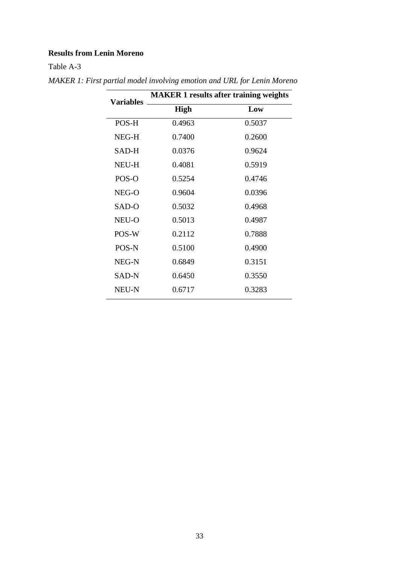# **Results from Lenin Moreno**

| <b>Variables</b> | <b>MAKER 1 results after training weights</b> |        |  |
|------------------|-----------------------------------------------|--------|--|
|                  | <b>High</b>                                   | Low    |  |
| POS-H            | 0.4963                                        | 0.5037 |  |
| NEG-H            | 0.7400                                        | 0.2600 |  |
| SAD-H            | 0.0376                                        | 0.9624 |  |
| <b>NEU-H</b>     | 0.4081                                        | 0.5919 |  |
| POS-O            | 0.5254                                        | 0.4746 |  |
| NEG-O            | 0.9604                                        | 0.0396 |  |
| SAD-O            | 0.5032                                        | 0.4968 |  |
| NEU-O            | 0.5013                                        | 0.4987 |  |
| POS-W            | 0.2112                                        | 0.7888 |  |
| POS-N            | 0.5100                                        | 0.4900 |  |
| NEG-N            | 0.6849                                        | 0.3151 |  |
| SAD-N            | 0.6450                                        | 0.3550 |  |
| NEU-N            | 0.6717                                        | 0.3283 |  |

*MAKER 1: First partial model involving emotion and URL for Lenin Moreno*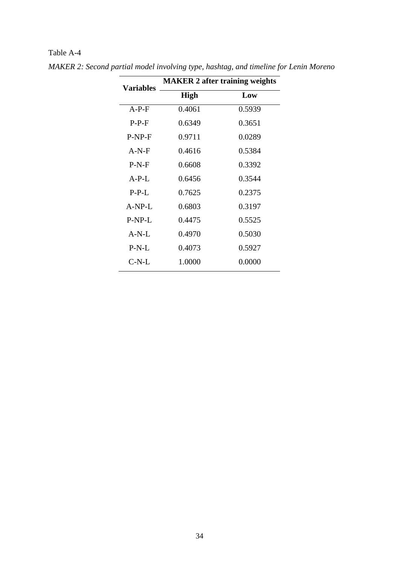| <b>Variables</b> | <b>MAKER 2 after training weights</b> |        |  |  |
|------------------|---------------------------------------|--------|--|--|
|                  | <b>High</b>                           | Low    |  |  |
| $A-P-F$          | 0.4061                                | 0.5939 |  |  |
| $P-P-F$          | 0.6349                                | 0.3651 |  |  |
| $P-NP-F$         | 0.9711                                | 0.0289 |  |  |
| $A-N-F$          | 0.4616                                | 0.5384 |  |  |
| $P-N-F$          | 0.6608                                | 0.3392 |  |  |
| $A-P-L$          | 0.6456                                | 0.3544 |  |  |
| $P-P-L$          | 0.7625                                | 0.2375 |  |  |
| $A-NP-L$         | 0.6803                                | 0.3197 |  |  |
| P-NP-L           | 0.4475                                | 0.5525 |  |  |
| $A-N-I$ .        | 0.4970                                | 0.5030 |  |  |
| $P-N-L$          | 0.4073                                | 0.5927 |  |  |
| $C-N-L$          | 1.0000                                | 0.0000 |  |  |
|                  |                                       |        |  |  |

*MAKER 2: Second partial model involving type, hashtag, and timeline for Lenin Moreno*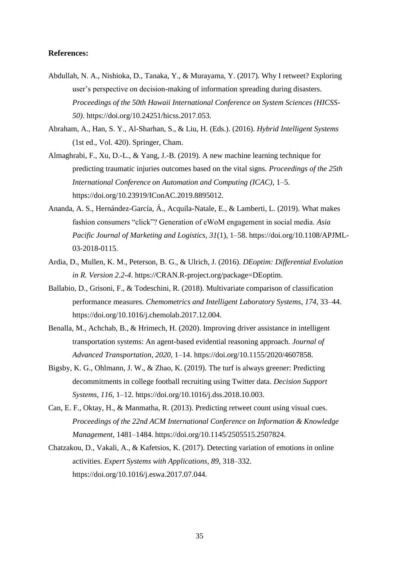## **References:**

- Abdullah, N. A., Nishioka, D., Tanaka, Y., & Murayama, Y. (2017). Why I retweet? Exploring user's perspective on decision-making of information spreading during disasters. *Proceedings of the 50th Hawaii International Conference on System Sciences (HICSS-50)*. https://doi.org/10.24251/hicss.2017.053.
- Abraham, A., Han, S. Y., Al-Sharhan, S., & Liu, H. (Eds.). (2016). *Hybrid Intelligent Systems* (1st ed., Vol. 420). Springer, Cham.
- Almaghrabi, F., Xu, D.-L., & Yang, J.-B. (2019). A new machine learning technique for predicting traumatic injuries outcomes based on the vital signs. *Proceedings of the 25th International Conference on Automation and Computing (ICAC)*, 1–5. https://doi.org/10.23919/IConAC.2019.8895012.
- Ananda, A. S., Hernández-García, Á., Acquila-Natale, E., & Lamberti, L. (2019). What makes fashion consumers "click"? Generation of eWoM engagement in social media. *Asia Pacific Journal of Marketing and Logistics*, *31*(1), 1–58. https://doi.org/10.1108/APJML-03-2018-0115.
- Ardia, D., Mullen, K. M., Peterson, B. G., & Ulrich, J. (2016). *DEoptim: Differential Evolution in R. Version 2.2-4*. https://CRAN.R-project.org/package=DEoptim.
- Ballabio, D., Grisoni, F., & Todeschini, R. (2018). Multivariate comparison of classification performance measures. *Chemometrics and Intelligent Laboratory Systems*, *174*, 33–44. https://doi.org/10.1016/j.chemolab.2017.12.004.
- Benalla, M., Achchab, B., & Hrimech, H. (2020). Improving driver assistance in intelligent transportation systems: An agent-based evidential reasoning approach. *Journal of Advanced Transportation*, *2020*, 1–14. https://doi.org/10.1155/2020/4607858.
- Bigsby, K. G., Ohlmann, J. W., & Zhao, K. (2019). The turf is always greener: Predicting decommitments in college football recruiting using Twitter data. *Decision Support Systems*, *116*, 1–12. https://doi.org/10.1016/j.dss.2018.10.003.
- Can, E. F., Oktay, H., & Manmatha, R. (2013). Predicting retweet count using visual cues. *Proceedings of the 22nd ACM International Conference on Information & Knowledge Management*, 1481–1484. https://doi.org/10.1145/2505515.2507824.
- Chatzakou, D., Vakali, A., & Kafetsios, K. (2017). Detecting variation of emotions in online activities. *Expert Systems with Applications*, *89*, 318–332. https://doi.org/10.1016/j.eswa.2017.07.044.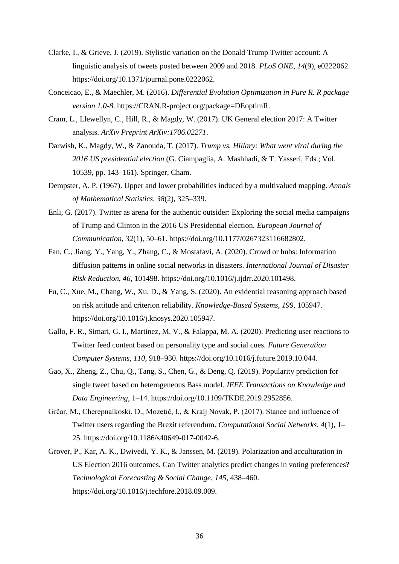- Clarke, I., & Grieve, J. (2019). Stylistic variation on the Donald Trump Twitter account: A linguistic analysis of tweets posted between 2009 and 2018. *PLoS ONE*, *14*(9), e0222062. https://doi.org/10.1371/journal.pone.0222062.
- Conceicao, E., & Maechler, M. (2016). *Differential Evolution Optimization in Pure R. R package version 1.0-8*. https://CRAN.R-project.org/package=DEoptimR.
- Cram, L., Llewellyn, C., Hill, R., & Magdy, W. (2017). UK General election 2017: A Twitter analysis. *ArXiv Preprint ArXiv:1706.02271*.
- Darwish, K., Magdy, W., & Zanouda, T. (2017). *Trump vs. Hillary: What went viral during the 2016 US presidential election* (G. Ciampaglia, A. Mashhadi, & T. Yasseri, Eds.; Vol. 10539, pp. 143–161). Springer, Cham.
- Dempster, A. P. (1967). Upper and lower probabilities induced by a multivalued mapping. *Annals of Mathematical Statistics*, *38*(2), 325–339.
- Enli, G. (2017). Twitter as arena for the authentic outsider: Exploring the social media campaigns of Trump and Clinton in the 2016 US Presidential election. *European Journal of Communication*, *32*(1), 50–61. https://doi.org/10.1177/0267323116682802.
- Fan, C., Jiang, Y., Yang, Y., Zhang, C., & Mostafavi, A. (2020). Crowd or hubs: Information diffusion patterns in online social networks in disasters. *International Journal of Disaster Risk Reduction*, *46*, 101498. https://doi.org/10.1016/j.ijdrr.2020.101498.
- Fu, C., Xue, M., Chang, W., Xu, D., & Yang, S. (2020). An evidential reasoning approach based on risk attitude and criterion reliability. *Knowledge-Based Systems*, *199*, 105947. https://doi.org/10.1016/j.knosys.2020.105947.
- Gallo, F. R., Simari, G. I., Martinez, M. V., & Falappa, M. A. (2020). Predicting user reactions to Twitter feed content based on personality type and social cues. *Future Generation Computer Systems*, *110*, 918–930. https://doi.org/10.1016/j.future.2019.10.044.
- Gao, X., Zheng, Z., Chu, Q., Tang, S., Chen, G., & Deng, Q. (2019). Popularity prediction for single tweet based on heterogeneous Bass model. *IEEE Transactions on Knowledge and Data Engineering*, 1–14. https://doi.org/10.1109/TKDE.2019.2952856.
- Grčar, M., Cherepnalkoski, D., Mozetič, I., & Kralj Novak, P. (2017). Stance and influence of Twitter users regarding the Brexit referendum. *Computational Social Networks*, *4*(1), 1– 25. https://doi.org/10.1186/s40649-017-0042-6.
- Grover, P., Kar, A. K., Dwivedi, Y. K., & Janssen, M. (2019). Polarization and acculturation in US Election 2016 outcomes. Can Twitter analytics predict changes in voting preferences? *Technological Forecasting & Social Change*, *145*, 438–460. https://doi.org/10.1016/j.techfore.2018.09.009.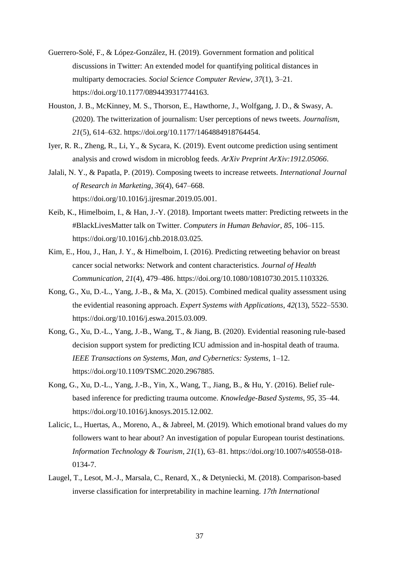- Guerrero-Solé, F., & López-González, H. (2019). Government formation and political discussions in Twitter: An extended model for quantifying political distances in multiparty democracies. *Social Science Computer Review*, *37*(1), 3–21. https://doi.org/10.1177/0894439317744163.
- Houston, J. B., McKinney, M. S., Thorson, E., Hawthorne, J., Wolfgang, J. D., & Swasy, A. (2020). The twitterization of journalism: User perceptions of news tweets. *Journalism*, *21*(5), 614–632. https://doi.org/10.1177/1464884918764454.
- Iyer, R. R., Zheng, R., Li, Y., & Sycara, K. (2019). Event outcome prediction using sentiment analysis and crowd wisdom in microblog feeds. *ArXiv Preprint ArXiv:1912.05066*.
- Jalali, N. Y., & Papatla, P. (2019). Composing tweets to increase retweets. *International Journal of Research in Marketing*, *36*(4), 647–668. https://doi.org/10.1016/j.ijresmar.2019.05.001.
- Keib, K., Himelboim, I., & Han, J.-Y. (2018). Important tweets matter: Predicting retweets in the #BlackLivesMatter talk on Twitter. *Computers in Human Behavior*, *85*, 106–115. https://doi.org/10.1016/j.chb.2018.03.025.
- Kim, E., Hou, J., Han, J. Y., & Himelboim, I. (2016). Predicting retweeting behavior on breast cancer social networks: Network and content characteristics. *Journal of Health Communication*, *21*(4), 479–486. https://doi.org/10.1080/10810730.2015.1103326.
- Kong, G., Xu, D.-L., Yang, J.-B., & Ma, X. (2015). Combined medical quality assessment using the evidential reasoning approach. *Expert Systems with Applications*, *42*(13), 5522–5530. https://doi.org/10.1016/j.eswa.2015.03.009.
- Kong, G., Xu, D.-L., Yang, J.-B., Wang, T., & Jiang, B. (2020). Evidential reasoning rule-based decision support system for predicting ICU admission and in-hospital death of trauma. *IEEE Transactions on Systems, Man, and Cybernetics: Systems*, 1–12. https://doi.org/10.1109/TSMC.2020.2967885.
- Kong, G., Xu, D.-L., Yang, J.-B., Yin, X., Wang, T., Jiang, B., & Hu, Y. (2016). Belief rulebased inference for predicting trauma outcome. *Knowledge-Based Systems*, *95*, 35–44. https://doi.org/10.1016/j.knosys.2015.12.002.
- Lalicic, L., Huertas, A., Moreno, A., & Jabreel, M. (2019). Which emotional brand values do my followers want to hear about? An investigation of popular European tourist destinations. *Information Technology & Tourism*, *21*(1), 63–81. https://doi.org/10.1007/s40558-018- 0134-7.
- Laugel, T., Lesot, M.-J., Marsala, C., Renard, X., & Detyniecki, M. (2018). Comparison-based inverse classification for interpretability in machine learning. *17th International*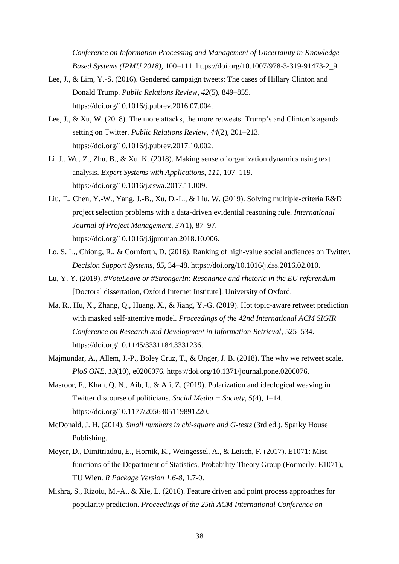*Conference on Information Processing and Management of Uncertainty in Knowledge-Based Systems (IPMU 2018)*, 100–111. https://doi.org/10.1007/978-3-319-91473-2\_9.

- Lee, J., & Lim, Y.-S. (2016). Gendered campaign tweets: The cases of Hillary Clinton and Donald Trump. *Public Relations Review*, *42*(5), 849–855. https://doi.org/10.1016/j.pubrev.2016.07.004.
- Lee, J., & Xu, W. (2018). The more attacks, the more retweets: Trump's and Clinton's agenda setting on Twitter. *Public Relations Review*, *44*(2), 201–213. https://doi.org/10.1016/j.pubrev.2017.10.002.
- Li, J., Wu, Z., Zhu, B., & Xu, K. (2018). Making sense of organization dynamics using text analysis. *Expert Systems with Applications*, *111*, 107–119. https://doi.org/10.1016/j.eswa.2017.11.009.
- Liu, F., Chen, Y.-W., Yang, J.-B., Xu, D.-L., & Liu, W. (2019). Solving multiple-criteria R&D project selection problems with a data-driven evidential reasoning rule. *International Journal of Project Management*, *37*(1), 87–97. https://doi.org/10.1016/j.ijproman.2018.10.006.
- Lo, S. L., Chiong, R., & Cornforth, D. (2016). Ranking of high-value social audiences on Twitter. *Decision Support Systems*, *85*, 34–48. https://doi.org/10.1016/j.dss.2016.02.010.
- Lu, Y. Y. (2019). *#VoteLeave or #StrongerIn: Resonance and rhetoric in the EU referendum* [Doctoral dissertation, Oxford Internet Institute]. University of Oxford.
- Ma, R., Hu, X., Zhang, Q., Huang, X., & Jiang, Y.-G. (2019). Hot topic-aware retweet prediction with masked self-attentive model. *Proceedings of the 42nd International ACM SIGIR Conference on Research and Development in Information Retrieval*, 525–534. https://doi.org/10.1145/3331184.3331236.
- Majmundar, A., Allem, J.-P., Boley Cruz, T., & Unger, J. B. (2018). The why we retweet scale. *PloS ONE*, *13*(10), e0206076. https://doi.org/10.1371/journal.pone.0206076.
- Masroor, F., Khan, Q. N., Aib, I., & Ali, Z. (2019). Polarization and ideological weaving in Twitter discourse of politicians. *Social Media + Society*, *5*(4), 1–14. https://doi.org/10.1177/2056305119891220.
- McDonald, J. H. (2014). *Small numbers in chi-square and G-tests* (3rd ed.). Sparky House Publishing.
- Meyer, D., Dimitriadou, E., Hornik, K., Weingessel, A., & Leisch, F. (2017). E1071: Misc functions of the Department of Statistics, Probability Theory Group (Formerly: E1071), TU Wien. *R Package Version 1.6-8*, 1.7-0.
- Mishra, S., Rizoiu, M.-A., & Xie, L. (2016). Feature driven and point process approaches for popularity prediction. *Proceedings of the 25th ACM International Conference on*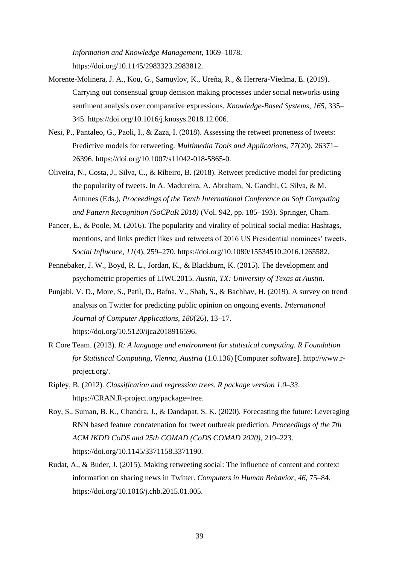*Information and Knowledge Management*, 1069–1078. https://doi.org/10.1145/2983323.2983812.

- Morente-Molinera, J. A., Kou, G., Samuylov, K., Ureña, R., & Herrera-Viedma, E. (2019). Carrying out consensual group decision making processes under social networks using sentiment analysis over comparative expressions. *Knowledge-Based Systems*, *165*, 335– 345. https://doi.org/10.1016/j.knosys.2018.12.006.
- Nesi, P., Pantaleo, G., Paoli, I., & Zaza, I. (2018). Assessing the retweet proneness of tweets: Predictive models for retweeting. *Multimedia Tools and Applications*, *77*(20), 26371– 26396. https://doi.org/10.1007/s11042-018-5865-0.
- Oliveira, N., Costa, J., Silva, C., & Ribeiro, B. (2018). Retweet predictive model for predicting the popularity of tweets. In A. Madureira, A. Abraham, N. Gandhi, C. Silva, & M. Antunes (Eds.), *Proceedings of the Tenth International Conference on Soft Computing and Pattern Recognition (SoCPaR 2018)* (Vol. 942, pp. 185–193). Springer, Cham.
- Pancer, E., & Poole, M. (2016). The popularity and virality of political social media: Hashtags, mentions, and links predict likes and retweets of 2016 US Presidential nominees' tweets. *Social Influence*, *11*(4), 259–270. https://doi.org/10.1080/15534510.2016.1265582.
- Pennebaker, J. W., Boyd, R. L., Jordan, K., & Blackburn, K. (2015). The development and psychometric properties of LIWC2015. *Austin, TX: University of Texas at Austin*.
- Punjabi, V. D., More, S., Patil, D., Bafna, V., Shah, S., & Bachhav, H. (2019). A survey on trend analysis on Twitter for predicting public opinion on ongoing events. *International Journal of Computer Applications*, *180*(26), 13–17. https://doi.org/10.5120/ijca2018916596.
- R Core Team. (2013). *R: A language and environment for statistical computing. R Foundation for Statistical Computing, Vienna, Austria* (1.0.136) [Computer software]. http://www.rproject.org/.
- Ripley, B. (2012). *Classification and regression trees. R package version 1.0–33*. https://CRAN.R-project.org/package=tree.
- Roy, S., Suman, B. K., Chandra, J., & Dandapat, S. K. (2020). Forecasting the future: Leveraging RNN based feature concatenation for tweet outbreak prediction. *Proceedings of the 7th ACM IKDD CoDS and 25th COMAD (CoDS COMAD 2020)*, 219–223. https://doi.org/10.1145/3371158.3371190.
- Rudat, A., & Buder, J. (2015). Making retweeting social: The influence of content and context information on sharing news in Twitter. *Computers in Human Behavior*, *46*, 75–84. https://doi.org/10.1016/j.chb.2015.01.005.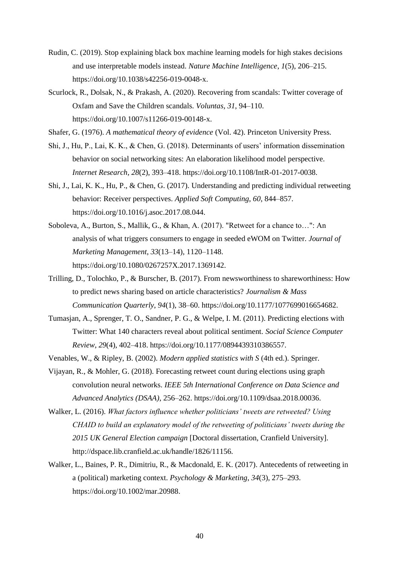- Rudin, C. (2019). Stop explaining black box machine learning models for high stakes decisions and use interpretable models instead. *Nature Machine Intelligence*, *1*(5), 206–215. https://doi.org/10.1038/s42256-019-0048-x.
- Scurlock, R., Dolsak, N., & Prakash, A. (2020). Recovering from scandals: Twitter coverage of Oxfam and Save the Children scandals. *Voluntas*, *31*, 94–110. https://doi.org/10.1007/s11266-019-00148-x.
- Shafer, G. (1976). *A mathematical theory of evidence* (Vol. 42). Princeton University Press.
- Shi, J., Hu, P., Lai, K. K., & Chen, G. (2018). Determinants of users' information dissemination behavior on social networking sites: An elaboration likelihood model perspective. *Internet Research*, *28*(2), 393–418. https://doi.org/10.1108/IntR-01-2017-0038.
- Shi, J., Lai, K. K., Hu, P., & Chen, G. (2017). Understanding and predicting individual retweeting behavior: Receiver perspectives. *Applied Soft Computing*, *60*, 844–857. https://doi.org/10.1016/j.asoc.2017.08.044.
- Soboleva, A., Burton, S., Mallik, G., & Khan, A. (2017). "Retweet for a chance to…": An analysis of what triggers consumers to engage in seeded eWOM on Twitter. *Journal of Marketing Management*, *33*(13–14), 1120–1148. https://doi.org/10.1080/0267257X.2017.1369142.
- Trilling, D., Tolochko, P., & Burscher, B. (2017). From newsworthiness to shareworthiness: How to predict news sharing based on article characteristics? *Journalism & Mass Communication Quarterly*, *94*(1), 38–60. https://doi.org/10.1177/1077699016654682.
- Tumasjan, A., Sprenger, T. O., Sandner, P. G., & Welpe, I. M. (2011). Predicting elections with Twitter: What 140 characters reveal about political sentiment. *Social Science Computer Review*, *29*(4), 402–418. https://doi.org/10.1177/0894439310386557.
- Venables, W., & Ripley, B. (2002). *Modern applied statistics with S* (4th ed.). Springer.
- Vijayan, R., & Mohler, G. (2018). Forecasting retweet count during elections using graph convolution neural networks. *IEEE 5th International Conference on Data Science and Advanced Analytics (DSAA)*, 256–262. https://doi.org/10.1109/dsaa.2018.00036.
- Walker, L. (2016). *What factors influence whether politicians' tweets are retweeted? Using CHAID to build an explanatory model of the retweeting of politicians' tweets during the 2015 UK General Election campaign* [Doctoral dissertation, Cranfield University]. http://dspace.lib.cranfield.ac.uk/handle/1826/11156.
- Walker, L., Baines, P. R., Dimitriu, R., & Macdonald, E. K. (2017). Antecedents of retweeting in a (political) marketing context. *Psychology & Marketing*, *34*(3), 275–293. https://doi.org/10.1002/mar.20988.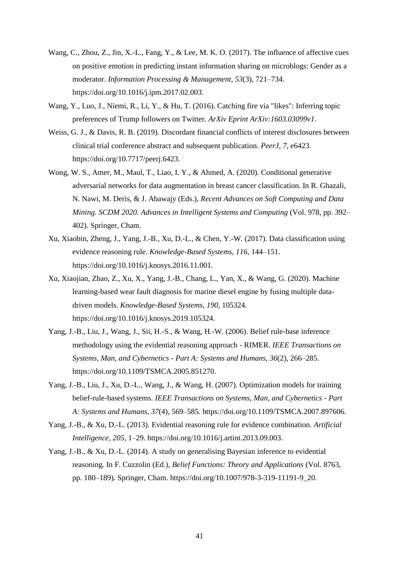- Wang, C., Zhou, Z., Jin, X.-L., Fang, Y., & Lee, M. K. O. (2017). The influence of affective cues on positive emotion in predicting instant information sharing on microblogs: Gender as a moderator. *Information Processing & Management*, *53*(3), 721–734. https://doi.org/10.1016/j.ipm.2017.02.003.
- Wang, Y., Luo, J., Niemi, R., Li, Y., & Hu, T. (2016). Catching fire via "likes": Inferring topic preferences of Trump followers on Twitter. *ArXiv Eprint ArXiv:1603.03099v1*.
- Weiss, G. J., & Davis, R. B. (2019). Discordant financial conflicts of interest disclosures between clinical trial conference abstract and subsequent publication. *PeerJ*, *7*, e6423. https://doi.org/10.7717/peerj.6423.
- Wong, W. S., Amer, M., Maul, T., Liao, I. Y., & Ahmed, A. (2020). Conditional generative adversarial networks for data augmentation in breast cancer classification. In R. Ghazali, N. Nawi, M. Deris, & J. Abawajy (Eds.), *Recent Advances on Soft Computing and Data Mining. SCDM 2020. Advances in Intelligent Systems and Computing* (Vol. 978, pp. 392– 402). Springer, Cham.
- Xu, Xiaobin, Zheng, J., Yang, J.-B., Xu, D.-L., & Chen, Y.-W. (2017). Data classification using evidence reasoning rule. *Knowledge-Based Systems*, *116*, 144–151. https://doi.org/10.1016/j.knosys.2016.11.001.
- Xu, Xiaojian, Zhao, Z., Xu, X., Yang, J.-B., Chang, L., Yan, X., & Wang, G. (2020). Machine learning-based wear fault diagnosis for marine diesel engine by fusing multiple datadriven models. *Knowledge-Based Systems*, *190*, 105324. https://doi.org/10.1016/j.knosys.2019.105324.
- Yang, J.-B., Liu, J., Wang, J., Sii, H.-S., & Wang, H.-W. (2006). Belief rule-base inference methodology using the evidential reasoning approach - RIMER. *IEEE Transactions on Systems, Man, and Cybernetics - Part A: Systems and Humans*, *36*(2), 266–285. https://doi.org/10.1109/TSMCA.2005.851270.
- Yang, J.-B., Liu, J., Xu, D.-L., Wang, J., & Wang, H. (2007). Optimization models for training belief-rule-based systems. *IEEE Transactions on Systems, Man, and Cybernetics - Part A: Systems and Humans*, *37*(4), 569–585. https://doi.org/10.1109/TSMCA.2007.897606.
- Yang, J.-B., & Xu, D.-L. (2013). Evidential reasoning rule for evidence combination. *Artificial Intelligence*, *205*, 1–29. https://doi.org/10.1016/j.artint.2013.09.003.
- Yang, J.-B., & Xu, D.-L. (2014). A study on generalising Bayesian inference to evidential reasoning. In F. Cuzzolin (Ed.), *Belief Functions: Theory and Applications* (Vol. 8763, pp. 180–189). Springer, Cham. https://doi.org/10.1007/978-3-319-11191-9\_20.